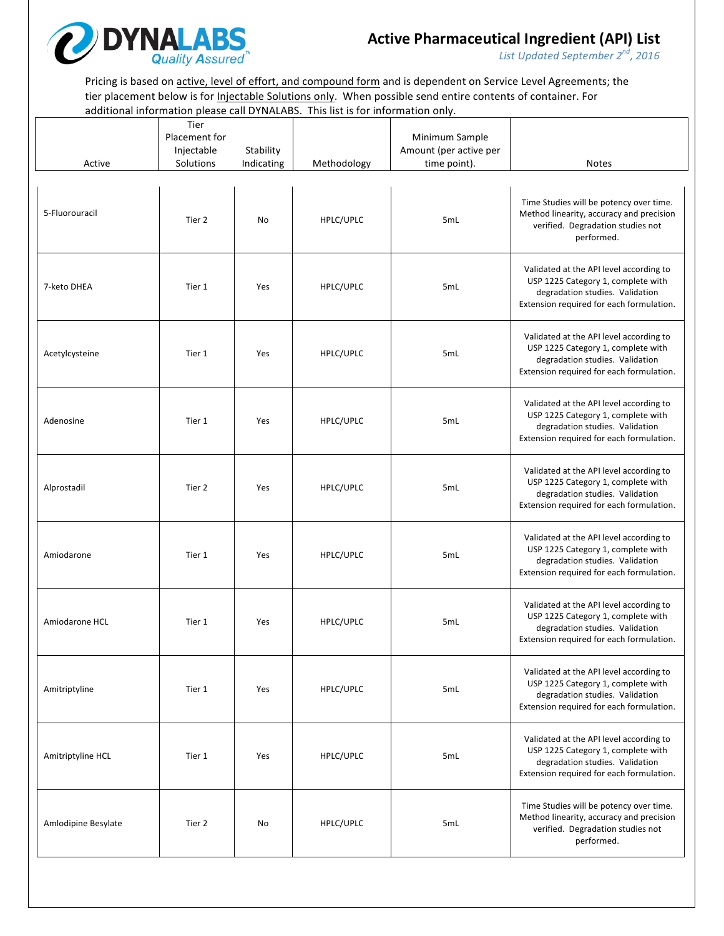

*List Updated September 2 nd, 2016*

Pricing is based on active, level of effort, and compound form and is dependent on Service Level Agreements; the tier placement below is for *Injectable Solutions only*. When possible send entire contents of container. For additional information please call DYNALABS. This list is for information only.

| Active              | Tier<br>Placement for<br>Injectable<br>Solutions | Stability<br>Indicating | Methodology | Minimum Sample<br>Amount (per active per<br>time point). | <b>Notes</b>                                                                                                                                                 |
|---------------------|--------------------------------------------------|-------------------------|-------------|----------------------------------------------------------|--------------------------------------------------------------------------------------------------------------------------------------------------------------|
|                     |                                                  |                         |             |                                                          |                                                                                                                                                              |
| 5-Fluorouracil      | Tier 2                                           | No                      | HPLC/UPLC   | 5mL                                                      | Time Studies will be potency over time.<br>Method linearity, accuracy and precision<br>verified. Degradation studies not<br>performed.                       |
| 7-keto DHEA         | Tier 1                                           | Yes                     | HPLC/UPLC   | 5mL                                                      | Validated at the API level according to<br>USP 1225 Category 1, complete with<br>degradation studies. Validation<br>Extension required for each formulation. |
| Acetylcysteine      | Tier 1                                           | Yes                     | HPLC/UPLC   | 5mL                                                      | Validated at the API level according to<br>USP 1225 Category 1, complete with<br>degradation studies. Validation<br>Extension required for each formulation. |
| Adenosine           | Tier 1                                           | Yes                     | HPLC/UPLC   | 5mL                                                      | Validated at the API level according to<br>USP 1225 Category 1, complete with<br>degradation studies. Validation<br>Extension required for each formulation. |
| Alprostadil         | Tier 2                                           | Yes                     | HPLC/UPLC   | 5mL                                                      | Validated at the API level according to<br>USP 1225 Category 1, complete with<br>degradation studies. Validation<br>Extension required for each formulation. |
| Amiodarone          | Tier 1                                           | Yes                     | HPLC/UPLC   | 5mL                                                      | Validated at the API level according to<br>USP 1225 Category 1, complete with<br>degradation studies. Validation<br>Extension required for each formulation. |
| Amiodarone HCL      | Tier 1                                           | Yes                     | HPLC/UPLC   | 5mL                                                      | Validated at the API level according to<br>USP 1225 Category 1, complete with<br>degradation studies. Validation<br>Extension required for each formulation. |
| Amitriptyline       | Tier 1                                           | Yes                     | HPLC/UPLC   | 5mL                                                      | Validated at the API level according to<br>USP 1225 Category 1, complete with<br>degradation studies. Validation<br>Extension required for each formulation. |
| Amitriptyline HCL   | Tier 1                                           | Yes                     | HPLC/UPLC   | 5mL                                                      | Validated at the API level according to<br>USP 1225 Category 1, complete with<br>degradation studies. Validation<br>Extension required for each formulation. |
| Amlodipine Besylate | Tier 2                                           | No                      | HPLC/UPLC   | 5 <sub>mL</sub>                                          | Time Studies will be potency over time.<br>Method linearity, accuracy and precision<br>verified. Degradation studies not<br>performed.                       |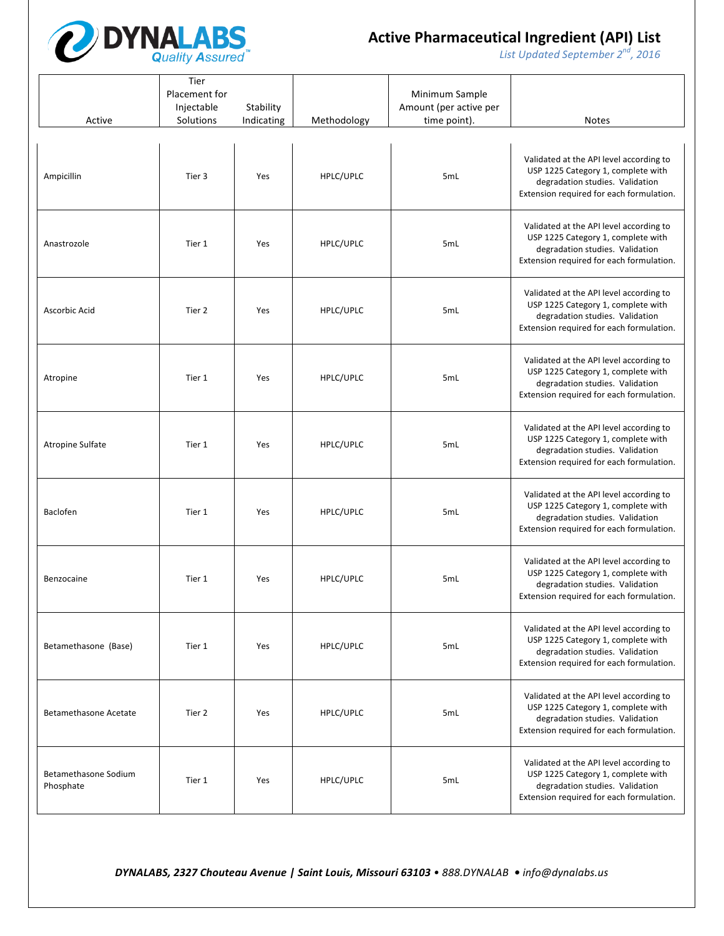

*List* Updated September 2<sup>nd</sup>, 2016

| Active                                   | Tier<br>Placement for<br>Injectable<br>Solutions | Stability<br>Indicating | Methodology | Minimum Sample<br>Amount (per active per<br>time point). | <b>Notes</b>                                                                                                                                                 |
|------------------------------------------|--------------------------------------------------|-------------------------|-------------|----------------------------------------------------------|--------------------------------------------------------------------------------------------------------------------------------------------------------------|
| Ampicillin                               | Tier 3                                           | Yes                     | HPLC/UPLC   | 5mL                                                      | Validated at the API level according to<br>USP 1225 Category 1, complete with<br>degradation studies. Validation<br>Extension required for each formulation. |
| Anastrozole                              | Tier 1                                           | Yes                     | HPLC/UPLC   | 5mL                                                      | Validated at the API level according to<br>USP 1225 Category 1, complete with<br>degradation studies. Validation<br>Extension required for each formulation. |
| Ascorbic Acid                            | Tier 2                                           | Yes                     | HPLC/UPLC   | 5mL                                                      | Validated at the API level according to<br>USP 1225 Category 1, complete with<br>degradation studies. Validation<br>Extension required for each formulation. |
| Atropine                                 | Tier 1                                           | Yes                     | HPLC/UPLC   | 5mL                                                      | Validated at the API level according to<br>USP 1225 Category 1, complete with<br>degradation studies. Validation<br>Extension required for each formulation. |
| Atropine Sulfate                         | Tier 1                                           | Yes                     | HPLC/UPLC   | 5mL                                                      | Validated at the API level according to<br>USP 1225 Category 1, complete with<br>degradation studies. Validation<br>Extension required for each formulation. |
| Baclofen                                 | Tier 1                                           | Yes                     | HPLC/UPLC   | 5mL                                                      | Validated at the API level according to<br>USP 1225 Category 1, complete with<br>degradation studies. Validation<br>Extension required for each formulation. |
| Benzocaine                               | Tier 1                                           | Yes                     | HPLC/UPLC   | 5mL                                                      | Validated at the API level according to<br>USP 1225 Category 1, complete with<br>degradation studies. Validation<br>Extension required for each formulation. |
| Betamethasone (Base)                     | Tier 1                                           | Yes                     | HPLC/UPLC   | 5mL                                                      | Validated at the API level according to<br>USP 1225 Category 1, complete with<br>degradation studies. Validation<br>Extension required for each formulation. |
| <b>Betamethasone Acetate</b>             | Tier 2                                           | Yes                     | HPLC/UPLC   | 5mL                                                      | Validated at the API level according to<br>USP 1225 Category 1, complete with<br>degradation studies. Validation<br>Extension required for each formulation. |
| <b>Betamethasone Sodium</b><br>Phosphate | Tier 1                                           | Yes                     | HPLC/UPLC   | 5 <sub>mL</sub>                                          | Validated at the API level according to<br>USP 1225 Category 1, complete with<br>degradation studies. Validation<br>Extension required for each formulation. |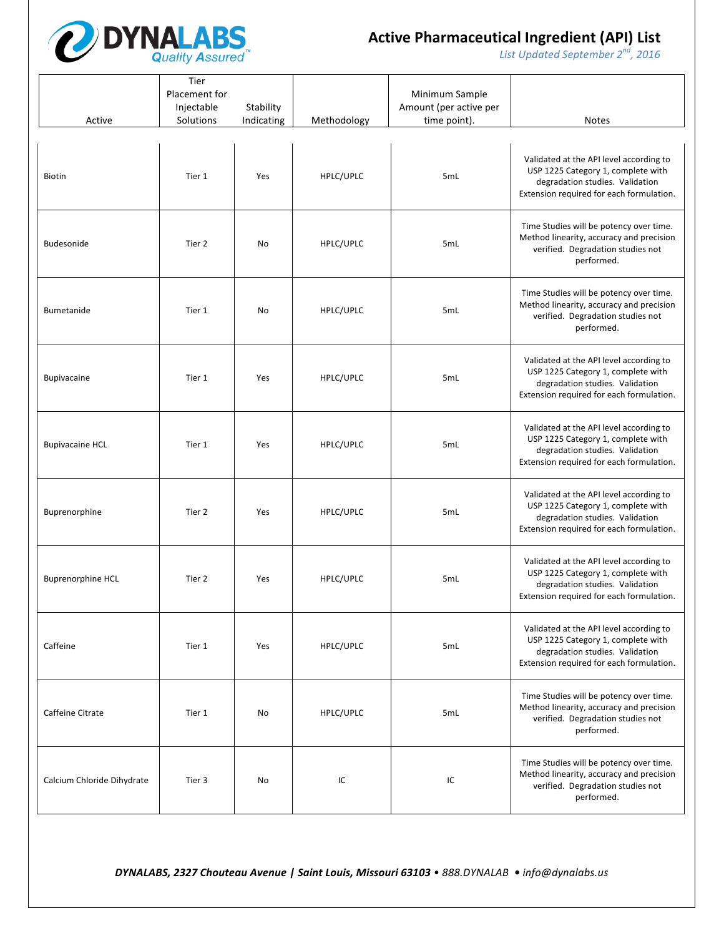

*List* Updated September 2<sup>nd</sup>, 2016

| Active                     | Tier<br>Placement for<br>Injectable<br>Solutions | Stability<br>Indicating | Methodology | Minimum Sample<br>Amount (per active per<br>time point). | <b>Notes</b>                                                                                                                                                 |
|----------------------------|--------------------------------------------------|-------------------------|-------------|----------------------------------------------------------|--------------------------------------------------------------------------------------------------------------------------------------------------------------|
| <b>Biotin</b>              | Tier 1                                           | Yes                     | HPLC/UPLC   | 5mL                                                      | Validated at the API level according to<br>USP 1225 Category 1, complete with<br>degradation studies. Validation<br>Extension required for each formulation. |
| <b>Budesonide</b>          | Tier 2                                           | No                      | HPLC/UPLC   | 5mL                                                      | Time Studies will be potency over time.<br>Method linearity, accuracy and precision<br>verified. Degradation studies not<br>performed.                       |
| <b>Bumetanide</b>          | Tier 1                                           | No                      | HPLC/UPLC   | 5mL                                                      | Time Studies will be potency over time.<br>Method linearity, accuracy and precision<br>verified. Degradation studies not<br>performed.                       |
| <b>Bupivacaine</b>         | Tier 1                                           | Yes                     | HPLC/UPLC   | 5mL                                                      | Validated at the API level according to<br>USP 1225 Category 1, complete with<br>degradation studies. Validation<br>Extension required for each formulation. |
| <b>Bupivacaine HCL</b>     | Tier 1                                           | Yes                     | HPLC/UPLC   | 5mL                                                      | Validated at the API level according to<br>USP 1225 Category 1, complete with<br>degradation studies. Validation<br>Extension required for each formulation. |
| Buprenorphine              | Tier 2                                           | Yes                     | HPLC/UPLC   | 5mL                                                      | Validated at the API level according to<br>USP 1225 Category 1, complete with<br>degradation studies. Validation<br>Extension required for each formulation. |
| <b>Buprenorphine HCL</b>   | Tier 2                                           | Yes                     | HPLC/UPLC   | 5mL                                                      | Validated at the API level according to<br>USP 1225 Category 1, complete with<br>degradation studies. Validation<br>Extension required for each formulation. |
| Caffeine                   | Tier 1                                           | Yes                     | HPLC/UPLC   | 5mL                                                      | Validated at the API level according to<br>USP 1225 Category 1, complete with<br>degradation studies. Validation<br>Extension required for each formulation. |
| Caffeine Citrate           | Tier 1                                           | No                      | HPLC/UPLC   | 5mL                                                      | Time Studies will be potency over time.<br>Method linearity, accuracy and precision<br>verified. Degradation studies not<br>performed.                       |
| Calcium Chloride Dihydrate | Tier 3                                           | No                      | IC          | IC                                                       | Time Studies will be potency over time.<br>Method linearity, accuracy and precision<br>verified. Degradation studies not<br>performed.                       |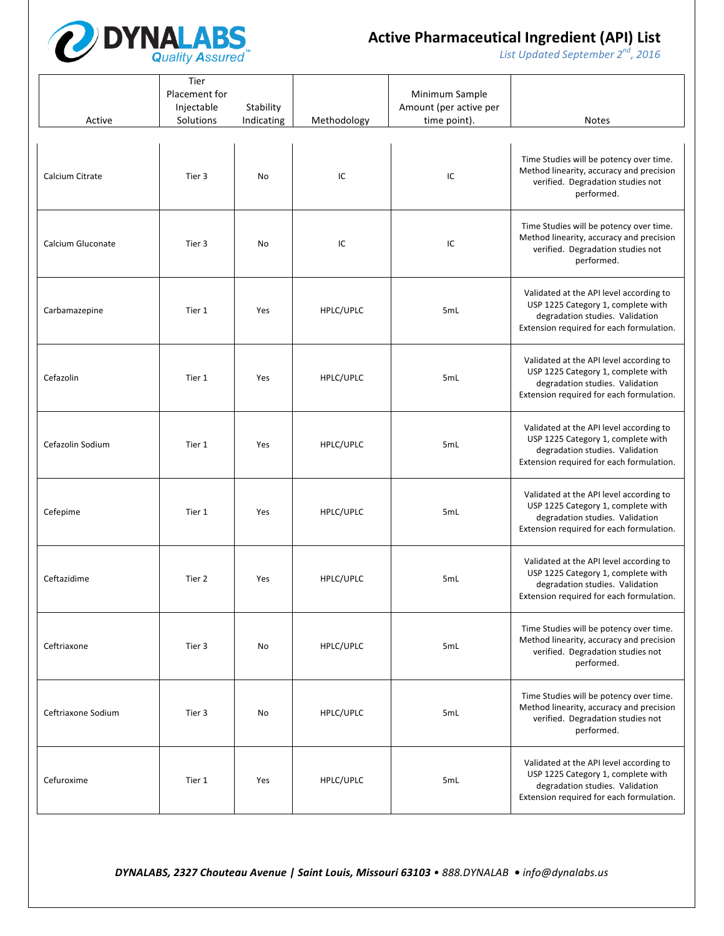

*List* Updated September 2<sup>nd</sup>, 2016

| Active             | Tier<br>Placement for<br>Injectable<br>Solutions | Stability<br>Indicating | Methodology | Minimum Sample<br>Amount (per active per<br>time point). | <b>Notes</b>                                                                                                                                                 |
|--------------------|--------------------------------------------------|-------------------------|-------------|----------------------------------------------------------|--------------------------------------------------------------------------------------------------------------------------------------------------------------|
| Calcium Citrate    | Tier 3                                           | No                      | IC          | IC                                                       | Time Studies will be potency over time.<br>Method linearity, accuracy and precision<br>verified. Degradation studies not<br>performed.                       |
| Calcium Gluconate  | Tier 3                                           | No                      | IC          | IC                                                       | Time Studies will be potency over time.<br>Method linearity, accuracy and precision<br>verified. Degradation studies not<br>performed.                       |
| Carbamazepine      | Tier 1                                           | Yes                     | HPLC/UPLC   | 5mL                                                      | Validated at the API level according to<br>USP 1225 Category 1, complete with<br>degradation studies. Validation<br>Extension required for each formulation. |
| Cefazolin          | Tier 1                                           | Yes                     | HPLC/UPLC   | 5mL                                                      | Validated at the API level according to<br>USP 1225 Category 1, complete with<br>degradation studies. Validation<br>Extension required for each formulation. |
| Cefazolin Sodium   | Tier 1                                           | Yes                     | HPLC/UPLC   | 5mL                                                      | Validated at the API level according to<br>USP 1225 Category 1, complete with<br>degradation studies. Validation<br>Extension required for each formulation. |
| Cefepime           | Tier 1                                           | Yes                     | HPLC/UPLC   | 5mL                                                      | Validated at the API level according to<br>USP 1225 Category 1, complete with<br>degradation studies. Validation<br>Extension required for each formulation. |
| Ceftazidime        | Tier 2                                           | Yes                     | HPLC/UPLC   | 5mL                                                      | Validated at the API level according to<br>USP 1225 Category 1, complete with<br>degradation studies. Validation<br>Extension required for each formulation. |
| Ceftriaxone        | Tier 3                                           | No                      | HPLC/UPLC   | 5 <sub>mL</sub>                                          | Time Studies will be potency over time.<br>Method linearity, accuracy and precision<br>verified. Degradation studies not<br>performed.                       |
| Ceftriaxone Sodium | Tier 3                                           | No                      | HPLC/UPLC   | 5mL                                                      | Time Studies will be potency over time.<br>Method linearity, accuracy and precision<br>verified. Degradation studies not<br>performed.                       |
| Cefuroxime         | Tier 1                                           | Yes                     | HPLC/UPLC   | 5mL                                                      | Validated at the API level according to<br>USP 1225 Category 1, complete with<br>degradation studies. Validation<br>Extension required for each formulation. |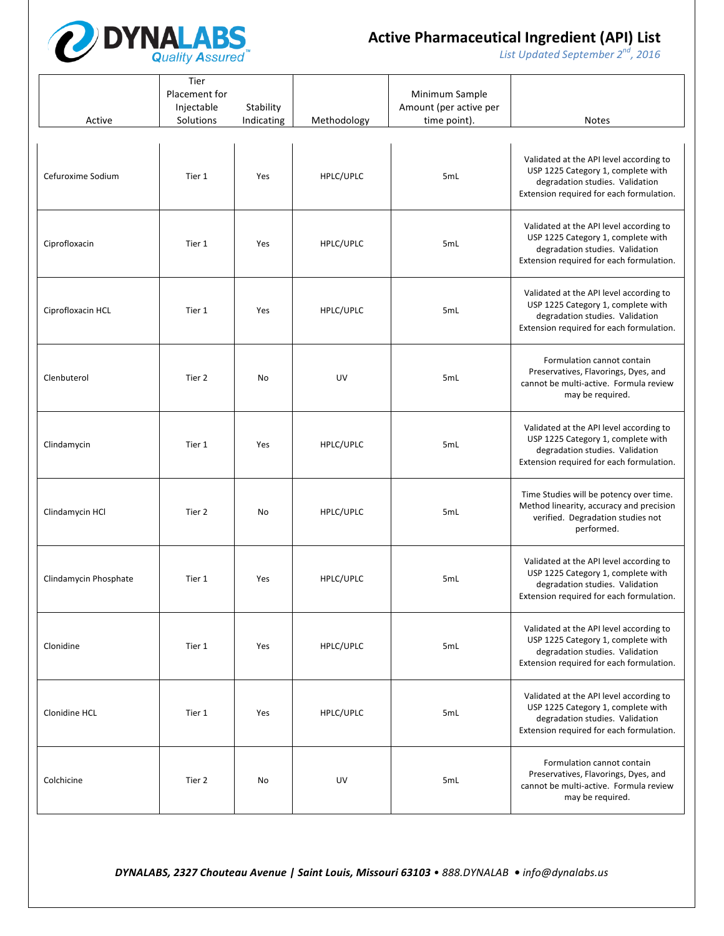

*List* Updated September 2<sup>nd</sup>, 2016

| Active                | Tier<br>Placement for<br>Injectable<br>Solutions | Stability<br>Indicating | Methodology | Minimum Sample<br>Amount (per active per<br>time point). | <b>Notes</b>                                                                                                                                                 |
|-----------------------|--------------------------------------------------|-------------------------|-------------|----------------------------------------------------------|--------------------------------------------------------------------------------------------------------------------------------------------------------------|
| Cefuroxime Sodium     | Tier 1                                           | Yes                     | HPLC/UPLC   | 5mL                                                      | Validated at the API level according to<br>USP 1225 Category 1, complete with<br>degradation studies. Validation<br>Extension required for each formulation. |
| Ciprofloxacin         | Tier 1                                           | Yes                     | HPLC/UPLC   | 5mL                                                      | Validated at the API level according to<br>USP 1225 Category 1, complete with<br>degradation studies. Validation<br>Extension required for each formulation. |
| Ciprofloxacin HCL     | Tier 1                                           | Yes                     | HPLC/UPLC   | 5mL                                                      | Validated at the API level according to<br>USP 1225 Category 1, complete with<br>degradation studies. Validation<br>Extension required for each formulation. |
| Clenbuterol           | Tier 2                                           | No                      | UV          | 5mL                                                      | Formulation cannot contain<br>Preservatives, Flavorings, Dyes, and<br>cannot be multi-active. Formula review<br>may be required.                             |
| Clindamycin           | Tier 1                                           | Yes                     | HPLC/UPLC   | 5mL                                                      | Validated at the API level according to<br>USP 1225 Category 1, complete with<br>degradation studies. Validation<br>Extension required for each formulation. |
| Clindamycin HCl       | Tier 2                                           | No                      | HPLC/UPLC   | 5mL                                                      | Time Studies will be potency over time.<br>Method linearity, accuracy and precision<br>verified. Degradation studies not<br>performed.                       |
| Clindamycin Phosphate | Tier 1                                           | Yes                     | HPLC/UPLC   | 5mL                                                      | Validated at the API level according to<br>USP 1225 Category 1, complete with<br>degradation studies. Validation<br>Extension required for each formulation. |
| Clonidine             | Tier 1                                           | Yes                     | HPLC/UPLC   | 5mL                                                      | Validated at the API level according to<br>USP 1225 Category 1, complete with<br>degradation studies. Validation<br>Extension required for each formulation. |
| Clonidine HCL         | Tier 1                                           | Yes                     | HPLC/UPLC   | 5mL                                                      | Validated at the API level according to<br>USP 1225 Category 1, complete with<br>degradation studies. Validation<br>Extension required for each formulation. |
| Colchicine            | Tier 2                                           | No                      | UV          | 5mL                                                      | Formulation cannot contain<br>Preservatives, Flavorings, Dyes, and<br>cannot be multi-active. Formula review<br>may be required.                             |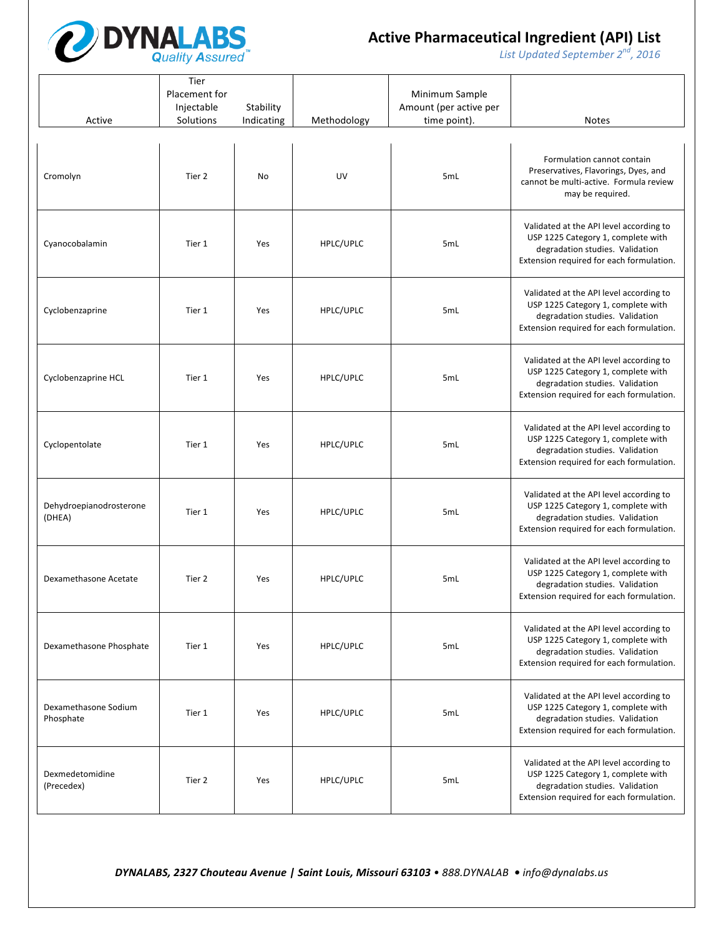

*List* Updated September 2<sup>nd</sup>, 2016

| Active                            | Tier<br>Placement for<br>Injectable<br>Solutions | Stability<br>Indicating | Methodology | Minimum Sample<br>Amount (per active per<br>time point). | <b>Notes</b>                                                                                                                                                 |
|-----------------------------------|--------------------------------------------------|-------------------------|-------------|----------------------------------------------------------|--------------------------------------------------------------------------------------------------------------------------------------------------------------|
| Cromolyn                          | Tier 2                                           | No                      | UV          | 5mL                                                      | Formulation cannot contain<br>Preservatives, Flavorings, Dyes, and<br>cannot be multi-active. Formula review<br>may be required.                             |
| Cyanocobalamin                    | Tier 1                                           | Yes                     | HPLC/UPLC   | 5mL                                                      | Validated at the API level according to<br>USP 1225 Category 1, complete with<br>degradation studies. Validation<br>Extension required for each formulation. |
| Cyclobenzaprine                   | Tier 1                                           | Yes                     | HPLC/UPLC   | 5mL                                                      | Validated at the API level according to<br>USP 1225 Category 1, complete with<br>degradation studies. Validation<br>Extension required for each formulation. |
| Cyclobenzaprine HCL               | Tier 1                                           | Yes                     | HPLC/UPLC   | 5mL                                                      | Validated at the API level according to<br>USP 1225 Category 1, complete with<br>degradation studies. Validation<br>Extension required for each formulation. |
| Cyclopentolate                    | Tier 1                                           | Yes                     | HPLC/UPLC   | 5mL                                                      | Validated at the API level according to<br>USP 1225 Category 1, complete with<br>degradation studies. Validation<br>Extension required for each formulation. |
| Dehydroepianodrosterone<br>(DHEA) | Tier 1                                           | Yes                     | HPLC/UPLC   | 5mL                                                      | Validated at the API level according to<br>USP 1225 Category 1, complete with<br>degradation studies. Validation<br>Extension required for each formulation. |
| Dexamethasone Acetate             | Tier 2                                           | Yes                     | HPLC/UPLC   | 5mL                                                      | Validated at the API level according to<br>USP 1225 Category 1, complete with<br>degradation studies. Validation<br>Extension required for each formulation. |
| Dexamethasone Phosphate           | Tier 1                                           | Yes                     | HPLC/UPLC   | 5mL                                                      | Validated at the API level according to<br>USP 1225 Category 1, complete with<br>degradation studies. Validation<br>Extension required for each formulation. |
| Dexamethasone Sodium<br>Phosphate | Tier 1                                           | Yes                     | HPLC/UPLC   | 5mL                                                      | Validated at the API level according to<br>USP 1225 Category 1, complete with<br>degradation studies. Validation<br>Extension required for each formulation. |
| Dexmedetomidine<br>(Precedex)     | Tier 2                                           | Yes                     | HPLC/UPLC   | 5 <sub>mL</sub>                                          | Validated at the API level according to<br>USP 1225 Category 1, complete with<br>degradation studies. Validation<br>Extension required for each formulation. |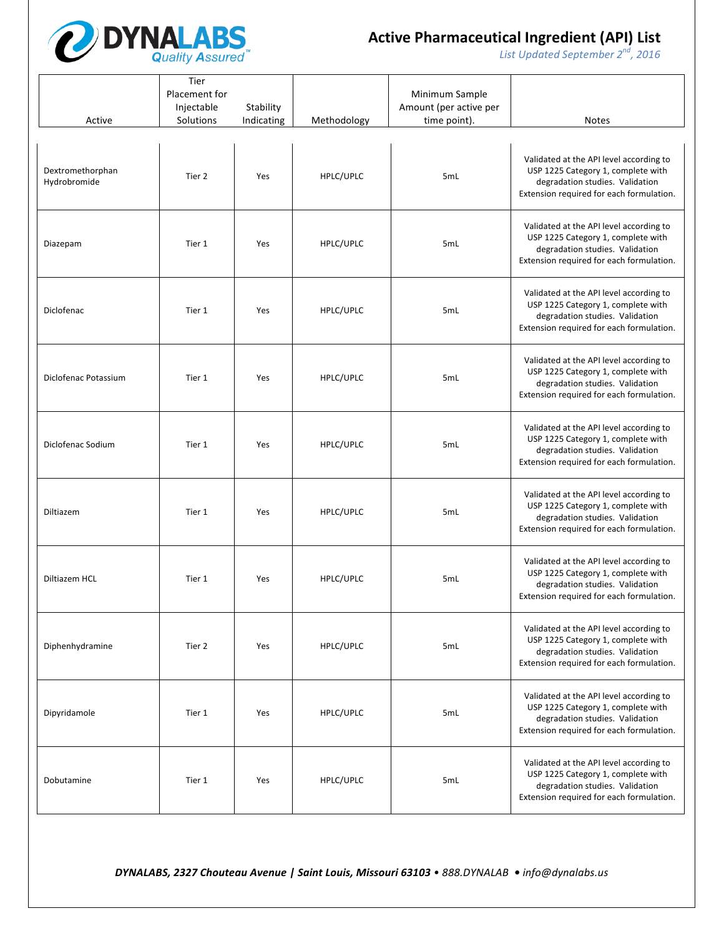

*List* Updated September 2<sup>nd</sup>, 2016

| Active                           | Tier<br>Placement for<br>Injectable<br>Solutions | Stability<br>Indicating | Methodology | Minimum Sample<br>Amount (per active per<br>time point). | <b>Notes</b>                                                                                                                                                 |
|----------------------------------|--------------------------------------------------|-------------------------|-------------|----------------------------------------------------------|--------------------------------------------------------------------------------------------------------------------------------------------------------------|
| Dextromethorphan<br>Hydrobromide | Tier 2                                           | Yes                     | HPLC/UPLC   | 5mL                                                      | Validated at the API level according to<br>USP 1225 Category 1, complete with<br>degradation studies. Validation<br>Extension required for each formulation. |
| Diazepam                         | Tier 1                                           | Yes                     | HPLC/UPLC   | 5mL                                                      | Validated at the API level according to<br>USP 1225 Category 1, complete with<br>degradation studies. Validation<br>Extension required for each formulation. |
| Diclofenac                       | Tier 1                                           | Yes                     | HPLC/UPLC   | 5mL                                                      | Validated at the API level according to<br>USP 1225 Category 1, complete with<br>degradation studies. Validation<br>Extension required for each formulation. |
| Diclofenac Potassium             | Tier 1                                           | Yes                     | HPLC/UPLC   | 5mL                                                      | Validated at the API level according to<br>USP 1225 Category 1, complete with<br>degradation studies. Validation<br>Extension required for each formulation. |
| Diclofenac Sodium                | Tier 1                                           | Yes                     | HPLC/UPLC   | 5mL                                                      | Validated at the API level according to<br>USP 1225 Category 1, complete with<br>degradation studies. Validation<br>Extension required for each formulation. |
| Diltiazem                        | Tier 1                                           | Yes                     | HPLC/UPLC   | 5mL                                                      | Validated at the API level according to<br>USP 1225 Category 1, complete with<br>degradation studies. Validation<br>Extension required for each formulation. |
| Diltiazem HCL                    | Tier 1                                           | Yes                     | HPLC/UPLC   | 5mL                                                      | Validated at the API level according to<br>USP 1225 Category 1, complete with<br>degradation studies. Validation<br>Extension required for each formulation. |
| Diphenhydramine                  | Tier 2                                           | Yes                     | HPLC/UPLC   | 5mL                                                      | Validated at the API level according to<br>USP 1225 Category 1, complete with<br>degradation studies. Validation<br>Extension required for each formulation. |
| Dipyridamole                     | Tier 1                                           | Yes                     | HPLC/UPLC   | 5mL                                                      | Validated at the API level according to<br>USP 1225 Category 1, complete with<br>degradation studies. Validation<br>Extension required for each formulation. |
| Dobutamine                       | Tier 1                                           | Yes                     | HPLC/UPLC   | 5mL                                                      | Validated at the API level according to<br>USP 1225 Category 1, complete with<br>degradation studies. Validation<br>Extension required for each formulation. |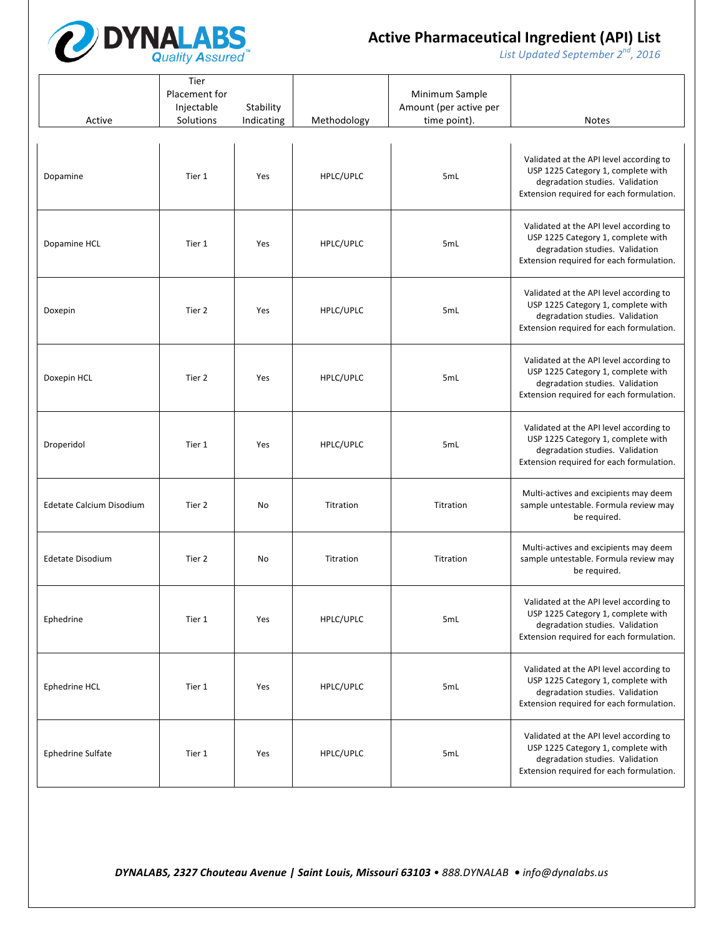

*List* Updated September 2<sup>nd</sup>, 2016

|                          | Tier<br>Placement for<br>Injectable | Stability  |             | Minimum Sample<br>Amount (per active per |                                                                                                                                                              |
|--------------------------|-------------------------------------|------------|-------------|------------------------------------------|--------------------------------------------------------------------------------------------------------------------------------------------------------------|
| Active                   | Solutions                           | Indicating | Methodology | time point).                             | <b>Notes</b>                                                                                                                                                 |
| Dopamine                 | Tier 1                              | Yes        | HPLC/UPLC   | 5mL                                      | Validated at the API level according to<br>USP 1225 Category 1, complete with<br>degradation studies. Validation<br>Extension required for each formulation. |
| Dopamine HCL             | Tier 1                              | Yes        | HPLC/UPLC   | 5mL                                      | Validated at the API level according to<br>USP 1225 Category 1, complete with<br>degradation studies. Validation<br>Extension required for each formulation. |
| Doxepin                  | Tier 2                              | Yes        | HPLC/UPLC   | 5mL                                      | Validated at the API level according to<br>USP 1225 Category 1, complete with<br>degradation studies. Validation<br>Extension required for each formulation. |
| Doxepin HCL              | Tier 2                              | Yes        | HPLC/UPLC   | 5mL                                      | Validated at the API level according to<br>USP 1225 Category 1, complete with<br>degradation studies. Validation<br>Extension required for each formulation. |
| Droperidol               | Tier 1                              | Yes        | HPLC/UPLC   | 5mL                                      | Validated at the API level according to<br>USP 1225 Category 1, complete with<br>degradation studies. Validation<br>Extension required for each formulation. |
| Edetate Calcium Disodium | Tier 2                              | No         | Titration   | Titration                                | Multi-actives and excipients may deem<br>sample untestable. Formula review may<br>be required.                                                               |
| <b>Edetate Disodium</b>  | Tier 2                              | No         | Titration   | Titration                                | Multi-actives and excipients may deem<br>sample untestable. Formula review may<br>be required.                                                               |
| Ephedrine                | Tier 1                              | Yes        | HPLC/UPLC   | 5mL                                      | Validated at the API level according to<br>USP 1225 Category 1, complete with<br>degradation studies. Validation<br>Extension required for each formulation. |
| Ephedrine HCL            | Tier 1                              | Yes        | HPLC/UPLC   | 5mL                                      | Validated at the API level according to<br>USP 1225 Category 1, complete with<br>degradation studies. Validation<br>Extension required for each formulation. |
| Ephedrine Sulfate        | Tier 1                              | Yes        | HPLC/UPLC   | 5mL                                      | Validated at the API level according to<br>USP 1225 Category 1, complete with<br>degradation studies. Validation<br>Extension required for each formulation. |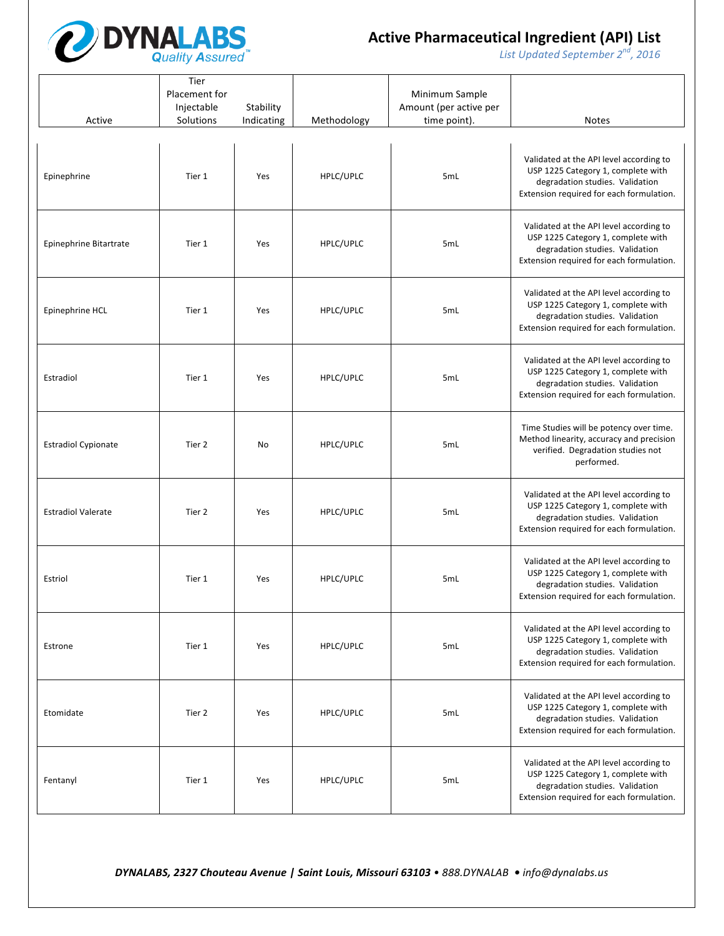

*List* Updated September 2<sup>nd</sup>, 2016

| Active                     | Tier<br>Placement for<br>Injectable<br>Solutions | Stability<br>Indicating | Methodology | Minimum Sample<br>Amount (per active per<br>time point). | <b>Notes</b>                                                                                                                                                 |
|----------------------------|--------------------------------------------------|-------------------------|-------------|----------------------------------------------------------|--------------------------------------------------------------------------------------------------------------------------------------------------------------|
| Epinephrine                | Tier 1                                           | Yes                     | HPLC/UPLC   | 5mL                                                      | Validated at the API level according to<br>USP 1225 Category 1, complete with<br>degradation studies. Validation<br>Extension required for each formulation. |
| Epinephrine Bitartrate     | Tier 1                                           | Yes                     | HPLC/UPLC   | 5mL                                                      | Validated at the API level according to<br>USP 1225 Category 1, complete with<br>degradation studies. Validation<br>Extension required for each formulation. |
| Epinephrine HCL            | Tier 1                                           | Yes                     | HPLC/UPLC   | 5mL                                                      | Validated at the API level according to<br>USP 1225 Category 1, complete with<br>degradation studies. Validation<br>Extension required for each formulation. |
| Estradiol                  | Tier 1                                           | Yes                     | HPLC/UPLC   | 5mL                                                      | Validated at the API level according to<br>USP 1225 Category 1, complete with<br>degradation studies. Validation<br>Extension required for each formulation. |
| <b>Estradiol Cypionate</b> | Tier 2                                           | No                      | HPLC/UPLC   | 5mL                                                      | Time Studies will be potency over time.<br>Method linearity, accuracy and precision<br>verified. Degradation studies not<br>performed.                       |
| <b>Estradiol Valerate</b>  | Tier 2                                           | Yes                     | HPLC/UPLC   | 5mL                                                      | Validated at the API level according to<br>USP 1225 Category 1, complete with<br>degradation studies. Validation<br>Extension required for each formulation. |
| Estriol                    | Tier 1                                           | Yes                     | HPLC/UPLC   | 5mL                                                      | Validated at the API level according to<br>USP 1225 Category 1, complete with<br>degradation studies. Validation<br>Extension required for each formulation. |
| Estrone                    | Tier 1                                           | Yes                     | HPLC/UPLC   | 5mL                                                      | Validated at the API level according to<br>USP 1225 Category 1, complete with<br>degradation studies. Validation<br>Extension required for each formulation. |
| Etomidate                  | Tier 2                                           | Yes                     | HPLC/UPLC   | 5mL                                                      | Validated at the API level according to<br>USP 1225 Category 1, complete with<br>degradation studies. Validation<br>Extension required for each formulation. |
| Fentanyl                   | Tier 1                                           | Yes                     | HPLC/UPLC   | 5mL                                                      | Validated at the API level according to<br>USP 1225 Category 1, complete with<br>degradation studies. Validation<br>Extension required for each formulation. |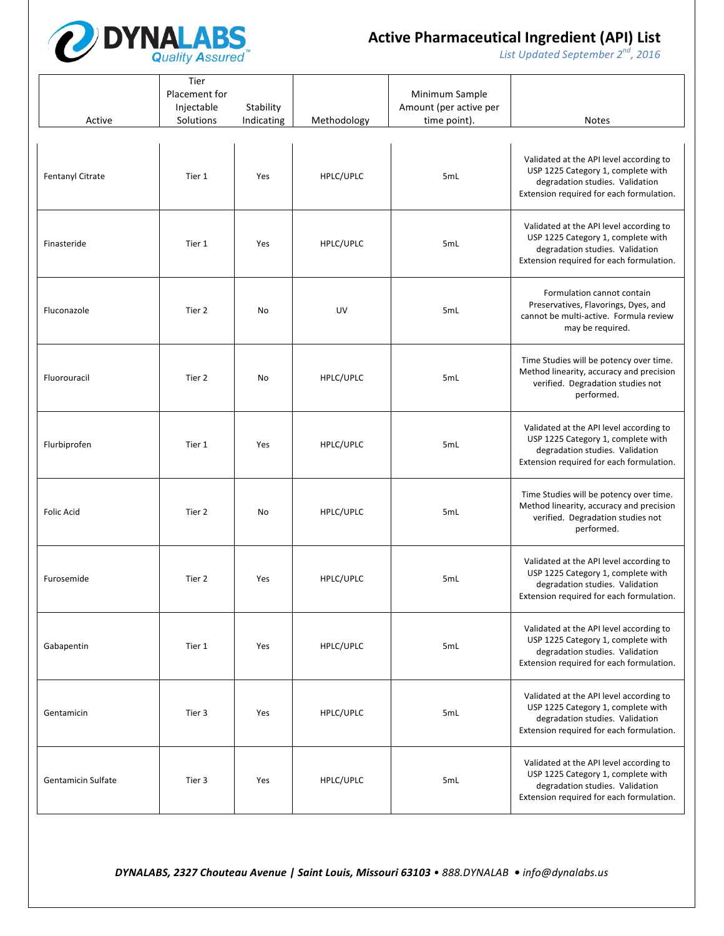

*List* Updated September 2<sup>nd</sup>, 2016

| Active                    | Tier<br>Placement for<br>Injectable<br>Solutions | Stability<br>Indicating | Methodology | Minimum Sample<br>Amount (per active per<br>time point). | <b>Notes</b>                                                                                                                                                 |
|---------------------------|--------------------------------------------------|-------------------------|-------------|----------------------------------------------------------|--------------------------------------------------------------------------------------------------------------------------------------------------------------|
| Fentanyl Citrate          | Tier 1                                           | Yes                     | HPLC/UPLC   | 5mL                                                      | Validated at the API level according to<br>USP 1225 Category 1, complete with<br>degradation studies. Validation<br>Extension required for each formulation. |
| Finasteride               | Tier 1                                           | Yes                     | HPLC/UPLC   | 5mL                                                      | Validated at the API level according to<br>USP 1225 Category 1, complete with<br>degradation studies. Validation<br>Extension required for each formulation. |
| Fluconazole               | Tier 2                                           | No                      | UV          | 5mL                                                      | Formulation cannot contain<br>Preservatives, Flavorings, Dyes, and<br>cannot be multi-active. Formula review<br>may be required.                             |
| Fluorouracil              | Tier 2                                           | No                      | HPLC/UPLC   | 5mL                                                      | Time Studies will be potency over time.<br>Method linearity, accuracy and precision<br>verified. Degradation studies not<br>performed.                       |
| Flurbiprofen              | Tier 1                                           | Yes                     | HPLC/UPLC   | 5mL                                                      | Validated at the API level according to<br>USP 1225 Category 1, complete with<br>degradation studies. Validation<br>Extension required for each formulation. |
| <b>Folic Acid</b>         | Tier 2                                           | No                      | HPLC/UPLC   | 5mL                                                      | Time Studies will be potency over time.<br>Method linearity, accuracy and precision<br>verified. Degradation studies not<br>performed.                       |
| Furosemide                | Tier 2                                           | Yes                     | HPLC/UPLC   | 5mL                                                      | Validated at the API level according to<br>USP 1225 Category 1, complete with<br>degradation studies. Validation<br>Extension required for each formulation. |
| Gabapentin                | Tier 1                                           | Yes                     | HPLC/UPLC   | 5mL                                                      | Validated at the API level according to<br>USP 1225 Category 1, complete with<br>degradation studies. Validation<br>Extension required for each formulation. |
| Gentamicin                | Tier 3                                           | Yes                     | HPLC/UPLC   | 5mL                                                      | Validated at the API level according to<br>USP 1225 Category 1, complete with<br>degradation studies. Validation<br>Extension required for each formulation. |
| <b>Gentamicin Sulfate</b> | Tier 3                                           | Yes                     | HPLC/UPLC   | 5mL                                                      | Validated at the API level according to<br>USP 1225 Category 1, complete with<br>degradation studies. Validation<br>Extension required for each formulation. |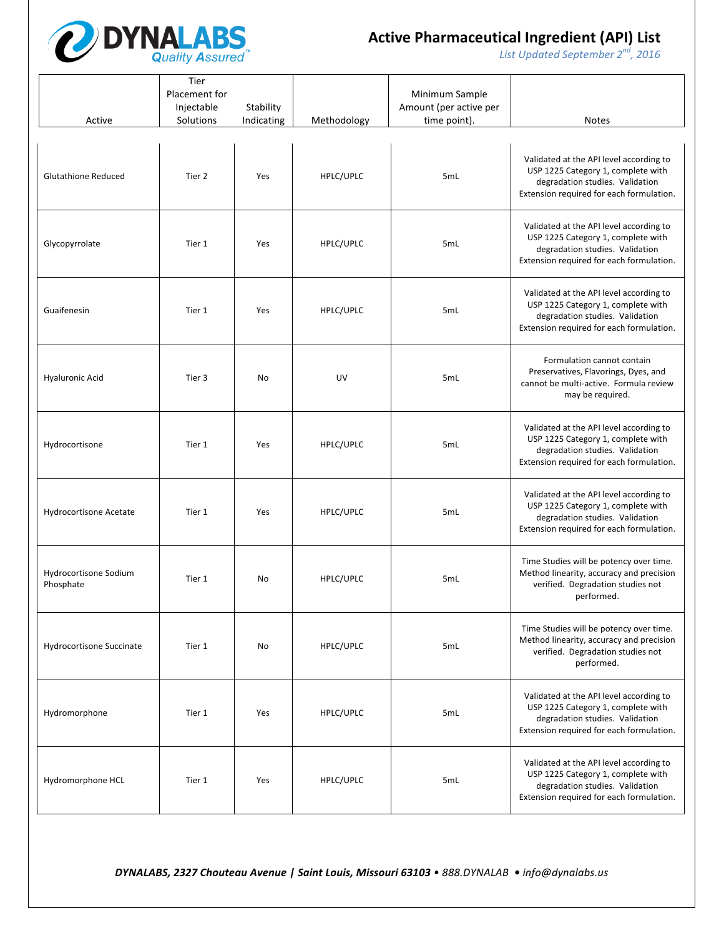

*List* Updated September 2<sup>nd</sup>, 2016

| Active                             | Tier<br>Placement for<br>Injectable<br>Solutions | Stability<br>Indicating | Methodology | Minimum Sample<br>Amount (per active per<br>time point). | <b>Notes</b>                                                                                                                                                 |
|------------------------------------|--------------------------------------------------|-------------------------|-------------|----------------------------------------------------------|--------------------------------------------------------------------------------------------------------------------------------------------------------------|
| <b>Glutathione Reduced</b>         | Tier 2                                           | Yes                     | HPLC/UPLC   | 5mL                                                      | Validated at the API level according to<br>USP 1225 Category 1, complete with<br>degradation studies. Validation<br>Extension required for each formulation. |
| Glycopyrrolate                     | Tier 1                                           | Yes                     | HPLC/UPLC   | 5mL                                                      | Validated at the API level according to<br>USP 1225 Category 1, complete with<br>degradation studies. Validation<br>Extension required for each formulation. |
| Guaifenesin                        | Tier 1                                           | Yes                     | HPLC/UPLC   | 5mL                                                      | Validated at the API level according to<br>USP 1225 Category 1, complete with<br>degradation studies. Validation<br>Extension required for each formulation. |
| <b>Hyaluronic Acid</b>             | Tier 3                                           | No                      | UV          | 5mL                                                      | Formulation cannot contain<br>Preservatives, Flavorings, Dyes, and<br>cannot be multi-active. Formula review<br>may be required.                             |
| Hydrocortisone                     | Tier 1                                           | Yes                     | HPLC/UPLC   | 5mL                                                      | Validated at the API level according to<br>USP 1225 Category 1, complete with<br>degradation studies. Validation<br>Extension required for each formulation. |
| Hydrocortisone Acetate             | Tier 1                                           | Yes                     | HPLC/UPLC   | 5mL                                                      | Validated at the API level according to<br>USP 1225 Category 1, complete with<br>degradation studies. Validation<br>Extension required for each formulation. |
| Hydrocortisone Sodium<br>Phosphate | Tier 1                                           | No                      | HPLC/UPLC   | 5mL                                                      | Time Studies will be potency over time.<br>Method linearity, accuracy and precision<br>verified. Degradation studies not<br>performed.                       |
| Hydrocortisone Succinate           | Tier 1                                           | No                      | HPLC/UPLC   | 5mL                                                      | Time Studies will be potency over time.<br>Method linearity, accuracy and precision<br>verified. Degradation studies not<br>performed.                       |
| Hydromorphone                      | Tier 1                                           | Yes                     | HPLC/UPLC   | 5mL                                                      | Validated at the API level according to<br>USP 1225 Category 1, complete with<br>degradation studies. Validation<br>Extension required for each formulation. |
| Hydromorphone HCL                  | Tier 1                                           | Yes                     | HPLC/UPLC   | 5mL                                                      | Validated at the API level according to<br>USP 1225 Category 1, complete with<br>degradation studies. Validation<br>Extension required for each formulation. |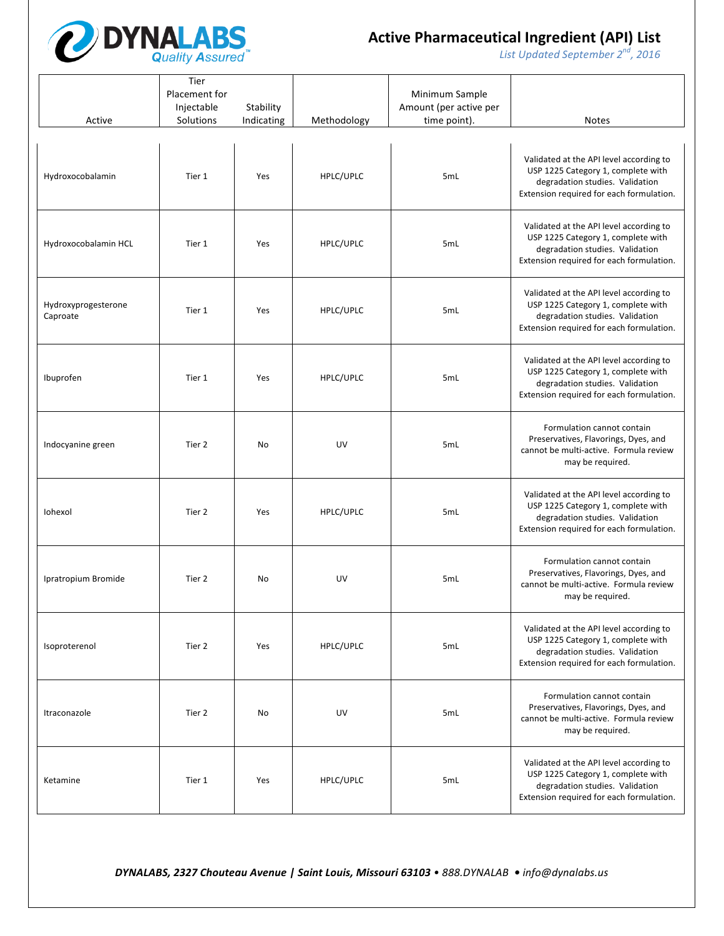

*List* Updated September 2<sup>nd</sup>, 2016

| Active                          | Tier<br>Placement for<br>Injectable<br>Solutions | Stability<br>Indicating | Methodology | Minimum Sample<br>Amount (per active per<br>time point). | <b>Notes</b>                                                                                                                                                 |
|---------------------------------|--------------------------------------------------|-------------------------|-------------|----------------------------------------------------------|--------------------------------------------------------------------------------------------------------------------------------------------------------------|
| Hydroxocobalamin                | Tier 1                                           | Yes                     | HPLC/UPLC   | 5mL                                                      | Validated at the API level according to<br>USP 1225 Category 1, complete with<br>degradation studies. Validation<br>Extension required for each formulation. |
| Hydroxocobalamin HCL            | Tier 1                                           | Yes                     | HPLC/UPLC   | 5mL                                                      | Validated at the API level according to<br>USP 1225 Category 1, complete with<br>degradation studies. Validation<br>Extension required for each formulation. |
| Hydroxyprogesterone<br>Caproate | Tier 1                                           | Yes                     | HPLC/UPLC   | 5mL                                                      | Validated at the API level according to<br>USP 1225 Category 1, complete with<br>degradation studies. Validation<br>Extension required for each formulation. |
| Ibuprofen                       | Tier 1                                           | Yes                     | HPLC/UPLC   | 5mL                                                      | Validated at the API level according to<br>USP 1225 Category 1, complete with<br>degradation studies. Validation<br>Extension required for each formulation. |
| Indocyanine green               | Tier 2                                           | No                      | UV          | 5mL                                                      | Formulation cannot contain<br>Preservatives, Flavorings, Dyes, and<br>cannot be multi-active. Formula review<br>may be required.                             |
| Iohexol                         | Tier 2                                           | Yes                     | HPLC/UPLC   | 5mL                                                      | Validated at the API level according to<br>USP 1225 Category 1, complete with<br>degradation studies. Validation<br>Extension required for each formulation. |
| Ipratropium Bromide             | Tier 2                                           | No                      | UV          | 5mL                                                      | Formulation cannot contain<br>Preservatives, Flavorings, Dyes, and<br>cannot be multi-active. Formula review<br>may be required.                             |
| Isoproterenol                   | Tier 2                                           | Yes                     | HPLC/UPLC   | 5mL                                                      | Validated at the API level according to<br>USP 1225 Category 1, complete with<br>degradation studies. Validation<br>Extension required for each formulation. |
| Itraconazole                    | Tier 2                                           | No                      | UV          | 5mL                                                      | Formulation cannot contain<br>Preservatives, Flavorings, Dyes, and<br>cannot be multi-active. Formula review<br>may be required.                             |
| Ketamine                        | Tier 1                                           | Yes                     | HPLC/UPLC   | 5mL                                                      | Validated at the API level according to<br>USP 1225 Category 1, complete with<br>degradation studies. Validation<br>Extension required for each formulation. |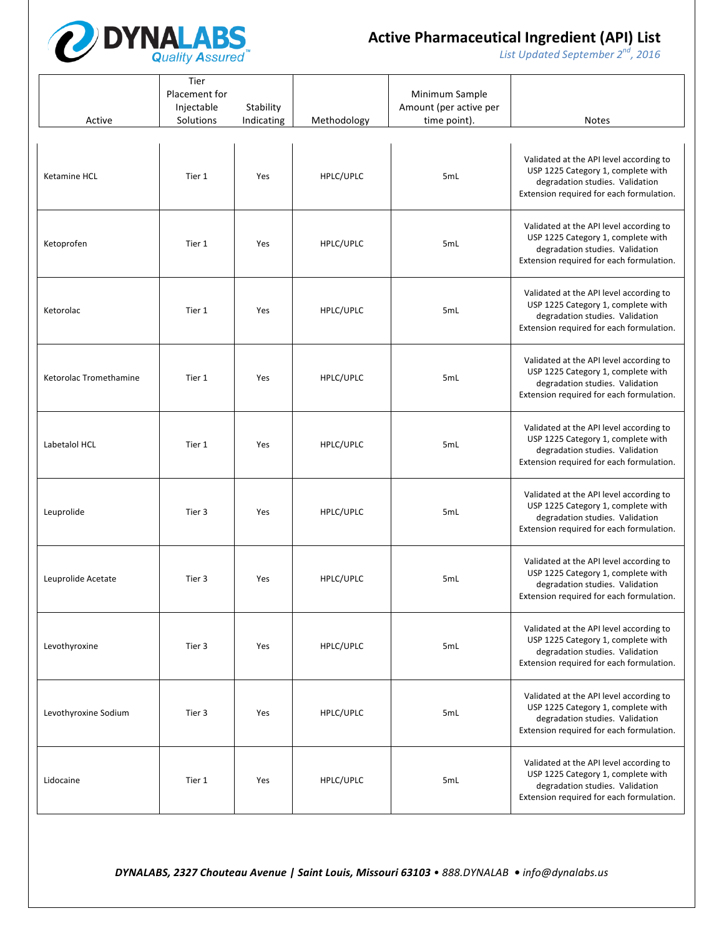

*List* Updated September 2<sup>nd</sup>, 2016

| Active                 | Tier<br>Placement for<br>Injectable<br>Solutions | Stability<br>Indicating | Methodology | Minimum Sample<br>Amount (per active per<br>time point). | <b>Notes</b>                                                                                                                                                 |
|------------------------|--------------------------------------------------|-------------------------|-------------|----------------------------------------------------------|--------------------------------------------------------------------------------------------------------------------------------------------------------------|
| <b>Ketamine HCL</b>    | Tier 1                                           | Yes                     | HPLC/UPLC   | 5mL                                                      | Validated at the API level according to<br>USP 1225 Category 1, complete with<br>degradation studies. Validation<br>Extension required for each formulation. |
| Ketoprofen             | Tier 1                                           | Yes                     | HPLC/UPLC   | 5mL                                                      | Validated at the API level according to<br>USP 1225 Category 1, complete with<br>degradation studies. Validation<br>Extension required for each formulation. |
| Ketorolac              | Tier 1                                           | Yes                     | HPLC/UPLC   | 5mL                                                      | Validated at the API level according to<br>USP 1225 Category 1, complete with<br>degradation studies. Validation<br>Extension required for each formulation. |
| Ketorolac Tromethamine | Tier 1                                           | Yes                     | HPLC/UPLC   | 5mL                                                      | Validated at the API level according to<br>USP 1225 Category 1, complete with<br>degradation studies. Validation<br>Extension required for each formulation. |
| Labetalol HCL          | Tier 1                                           | Yes                     | HPLC/UPLC   | 5mL                                                      | Validated at the API level according to<br>USP 1225 Category 1, complete with<br>degradation studies. Validation<br>Extension required for each formulation. |
| Leuprolide             | Tier 3                                           | Yes                     | HPLC/UPLC   | 5mL                                                      | Validated at the API level according to<br>USP 1225 Category 1, complete with<br>degradation studies. Validation<br>Extension required for each formulation. |
| Leuprolide Acetate     | Tier 3                                           | Yes                     | HPLC/UPLC   | 5mL                                                      | Validated at the API level according to<br>USP 1225 Category 1, complete with<br>degradation studies. Validation<br>Extension required for each formulation. |
| Levothyroxine          | Tier 3                                           | Yes                     | HPLC/UPLC   | 5mL                                                      | Validated at the API level according to<br>USP 1225 Category 1, complete with<br>degradation studies. Validation<br>Extension required for each formulation. |
| Levothyroxine Sodium   | Tier 3                                           | Yes                     | HPLC/UPLC   | 5mL                                                      | Validated at the API level according to<br>USP 1225 Category 1, complete with<br>degradation studies. Validation<br>Extension required for each formulation. |
| Lidocaine              | Tier 1                                           | Yes                     | HPLC/UPLC   | 5mL                                                      | Validated at the API level according to<br>USP 1225 Category 1, complete with<br>degradation studies. Validation<br>Extension required for each formulation. |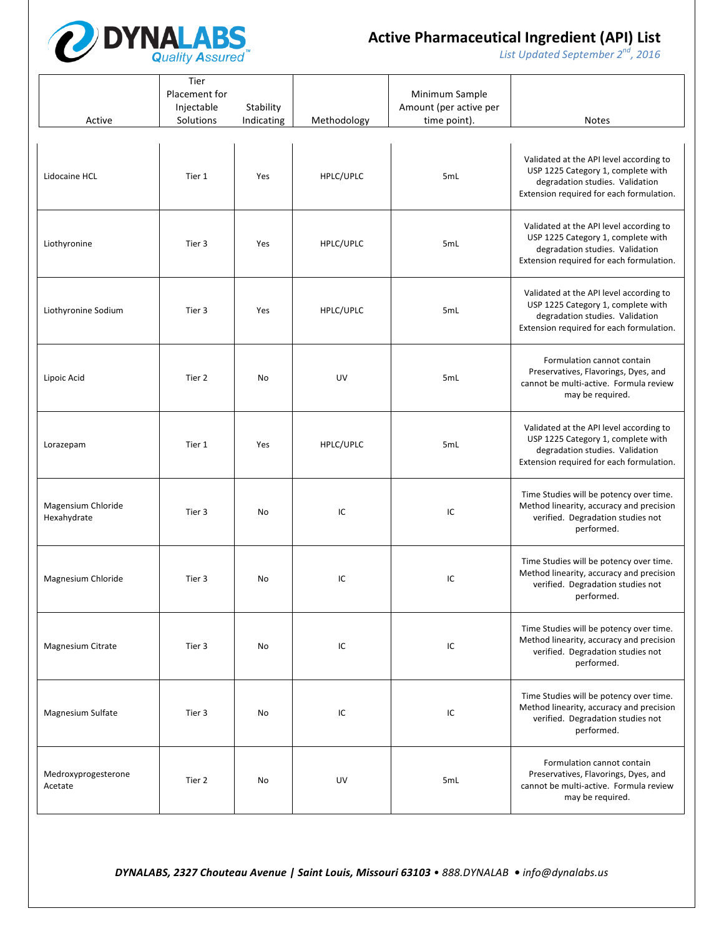

*List* Updated September 2<sup>nd</sup>, 2016

| Active                            | Tier<br>Placement for<br>Injectable<br>Solutions | Stability<br>Indicating | Methodology | Minimum Sample<br>Amount (per active per<br>time point). | <b>Notes</b>                                                                                                                                                 |
|-----------------------------------|--------------------------------------------------|-------------------------|-------------|----------------------------------------------------------|--------------------------------------------------------------------------------------------------------------------------------------------------------------|
|                                   |                                                  |                         |             |                                                          |                                                                                                                                                              |
| Lidocaine HCL                     | Tier 1                                           | Yes                     | HPLC/UPLC   | 5mL                                                      | Validated at the API level according to<br>USP 1225 Category 1, complete with<br>degradation studies. Validation<br>Extension required for each formulation. |
| Liothyronine                      | Tier 3                                           | Yes                     | HPLC/UPLC   | 5mL                                                      | Validated at the API level according to<br>USP 1225 Category 1, complete with<br>degradation studies. Validation<br>Extension required for each formulation. |
| Liothyronine Sodium               | Tier 3                                           | Yes                     | HPLC/UPLC   | 5mL                                                      | Validated at the API level according to<br>USP 1225 Category 1, complete with<br>degradation studies. Validation<br>Extension required for each formulation. |
| Lipoic Acid                       | Tier 2                                           | No                      | UV          | 5mL                                                      | Formulation cannot contain<br>Preservatives, Flavorings, Dyes, and<br>cannot be multi-active. Formula review<br>may be required.                             |
| Lorazepam                         | Tier 1                                           | Yes                     | HPLC/UPLC   | 5mL                                                      | Validated at the API level according to<br>USP 1225 Category 1, complete with<br>degradation studies. Validation<br>Extension required for each formulation. |
| Magensium Chloride<br>Hexahydrate | Tier 3                                           | No                      | IC          | IC                                                       | Time Studies will be potency over time.<br>Method linearity, accuracy and precision<br>verified. Degradation studies not<br>performed.                       |
| Magnesium Chloride                | Tier 3                                           | No                      | IC          | IC                                                       | Time Studies will be potency over time.<br>Method linearity, accuracy and precision<br>verified. Degradation studies not<br>performed.                       |
| Magnesium Citrate                 | Tier 3                                           | No                      | IC          | IC                                                       | Time Studies will be potency over time.<br>Method linearity, accuracy and precision<br>verified. Degradation studies not<br>performed.                       |
| Magnesium Sulfate                 | Tier 3                                           | No                      | IC          | IC                                                       | Time Studies will be potency over time.<br>Method linearity, accuracy and precision<br>verified. Degradation studies not<br>performed.                       |
| Medroxyprogesterone<br>Acetate    | Tier 2                                           | No                      | UV          | 5mL                                                      | Formulation cannot contain<br>Preservatives, Flavorings, Dyes, and<br>cannot be multi-active. Formula review<br>may be required.                             |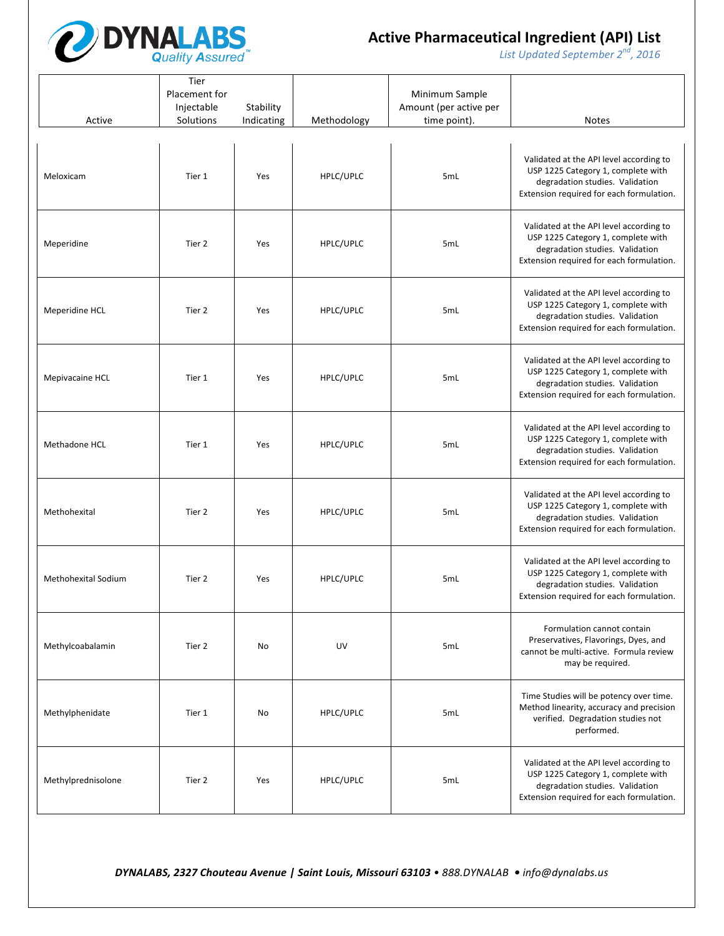

*List* Updated September 2<sup>nd</sup>, 2016

| Active                     | Tier<br>Placement for<br>Injectable<br>Solutions | Stability<br>Indicating | Methodology | Minimum Sample<br>Amount (per active per<br>time point). | <b>Notes</b>                                                                                                                                                 |
|----------------------------|--------------------------------------------------|-------------------------|-------------|----------------------------------------------------------|--------------------------------------------------------------------------------------------------------------------------------------------------------------|
|                            |                                                  |                         |             |                                                          |                                                                                                                                                              |
| Meloxicam                  | Tier 1                                           | Yes                     | HPLC/UPLC   | 5mL                                                      | Validated at the API level according to<br>USP 1225 Category 1, complete with<br>degradation studies. Validation<br>Extension required for each formulation. |
| Meperidine                 | Tier 2                                           | Yes                     | HPLC/UPLC   | 5mL                                                      | Validated at the API level according to<br>USP 1225 Category 1, complete with<br>degradation studies. Validation<br>Extension required for each formulation. |
| Meperidine HCL             | Tier 2                                           | Yes                     | HPLC/UPLC   | 5mL                                                      | Validated at the API level according to<br>USP 1225 Category 1, complete with<br>degradation studies. Validation<br>Extension required for each formulation. |
| Mepivacaine HCL            | Tier 1                                           | Yes                     | HPLC/UPLC   | 5mL                                                      | Validated at the API level according to<br>USP 1225 Category 1, complete with<br>degradation studies. Validation<br>Extension required for each formulation. |
| Methadone HCL              | Tier 1                                           | Yes                     | HPLC/UPLC   | 5mL                                                      | Validated at the API level according to<br>USP 1225 Category 1, complete with<br>degradation studies. Validation<br>Extension required for each formulation. |
| Methohexital               | Tier 2                                           | Yes                     | HPLC/UPLC   | 5mL                                                      | Validated at the API level according to<br>USP 1225 Category 1, complete with<br>degradation studies. Validation<br>Extension required for each formulation. |
| <b>Methohexital Sodium</b> | Tier 2                                           | Yes                     | HPLC/UPLC   | 5mL                                                      | Validated at the API level according to<br>USP 1225 Category 1, complete with<br>degradation studies. Validation<br>Extension required for each formulation. |
| Methylcoabalamin           | Tier 2                                           | No                      | UV          | 5mL                                                      | Formulation cannot contain<br>Preservatives, Flavorings, Dyes, and<br>cannot be multi-active. Formula review<br>may be required.                             |
| Methylphenidate            | Tier 1                                           | No                      | HPLC/UPLC   | 5mL                                                      | Time Studies will be potency over time.<br>Method linearity, accuracy and precision<br>verified. Degradation studies not<br>performed.                       |
| Methylprednisolone         | Tier 2                                           | Yes                     | HPLC/UPLC   | 5mL                                                      | Validated at the API level according to<br>USP 1225 Category 1, complete with<br>degradation studies. Validation<br>Extension required for each formulation. |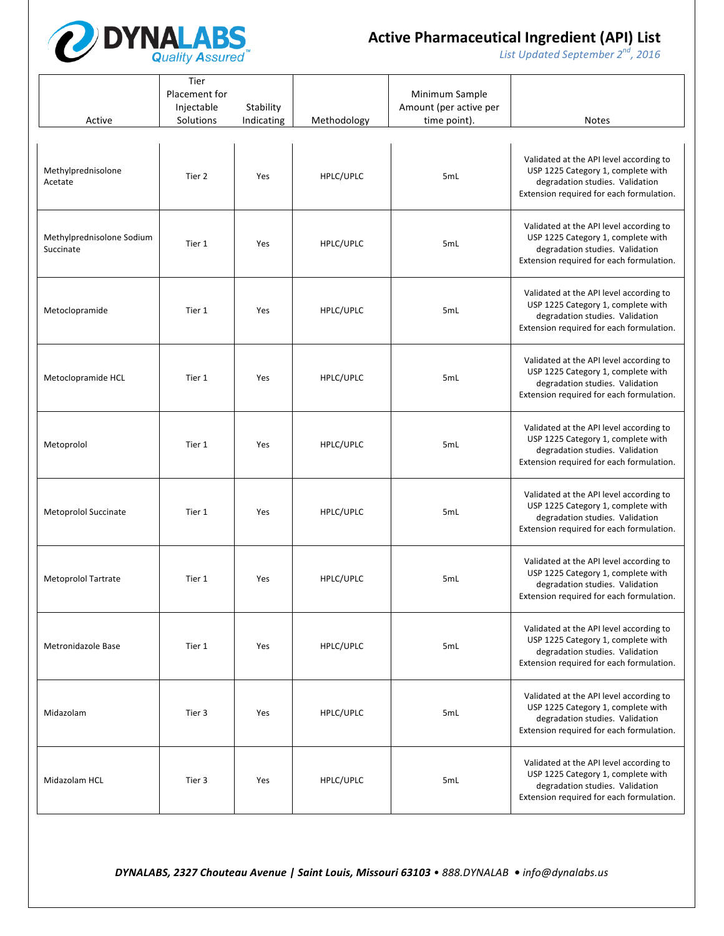

*List* Updated September 2<sup>nd</sup>, 2016

| Active                                 | Tier<br>Placement for<br>Injectable<br>Solutions | Stability<br>Indicating | Methodology | Minimum Sample<br>Amount (per active per<br>time point). | <b>Notes</b>                                                                                                                                                 |
|----------------------------------------|--------------------------------------------------|-------------------------|-------------|----------------------------------------------------------|--------------------------------------------------------------------------------------------------------------------------------------------------------------|
| Methylprednisolone<br>Acetate          | Tier 2                                           | Yes                     | HPLC/UPLC   | 5mL                                                      | Validated at the API level according to<br>USP 1225 Category 1, complete with<br>degradation studies. Validation<br>Extension required for each formulation. |
| Methylprednisolone Sodium<br>Succinate | Tier 1                                           | Yes                     | HPLC/UPLC   | 5mL                                                      | Validated at the API level according to<br>USP 1225 Category 1, complete with<br>degradation studies. Validation<br>Extension required for each formulation. |
| Metoclopramide                         | Tier 1                                           | Yes                     | HPLC/UPLC   | 5mL                                                      | Validated at the API level according to<br>USP 1225 Category 1, complete with<br>degradation studies. Validation<br>Extension required for each formulation. |
| Metoclopramide HCL                     | Tier 1                                           | Yes                     | HPLC/UPLC   | 5mL                                                      | Validated at the API level according to<br>USP 1225 Category 1, complete with<br>degradation studies. Validation<br>Extension required for each formulation. |
| Metoprolol                             | Tier 1                                           | Yes                     | HPLC/UPLC   | 5mL                                                      | Validated at the API level according to<br>USP 1225 Category 1, complete with<br>degradation studies. Validation<br>Extension required for each formulation. |
| Metoprolol Succinate                   | Tier 1                                           | Yes                     | HPLC/UPLC   | 5mL                                                      | Validated at the API level according to<br>USP 1225 Category 1, complete with<br>degradation studies. Validation<br>Extension required for each formulation. |
| Metoprolol Tartrate                    | Tier 1                                           | Yes                     | HPLC/UPLC   | 5mL                                                      | Validated at the API level according to<br>USP 1225 Category 1, complete with<br>degradation studies. Validation<br>Extension required for each formulation. |
| Metronidazole Base                     | Tier 1                                           | Yes                     | HPLC/UPLC   | 5mL                                                      | Validated at the API level according to<br>USP 1225 Category 1, complete with<br>degradation studies. Validation<br>Extension required for each formulation. |
| Midazolam                              | Tier 3                                           | Yes                     | HPLC/UPLC   | 5mL                                                      | Validated at the API level according to<br>USP 1225 Category 1, complete with<br>degradation studies. Validation<br>Extension required for each formulation. |
| Midazolam HCL                          | Tier 3                                           | Yes                     | HPLC/UPLC   | 5mL                                                      | Validated at the API level according to<br>USP 1225 Category 1, complete with<br>degradation studies. Validation<br>Extension required for each formulation. |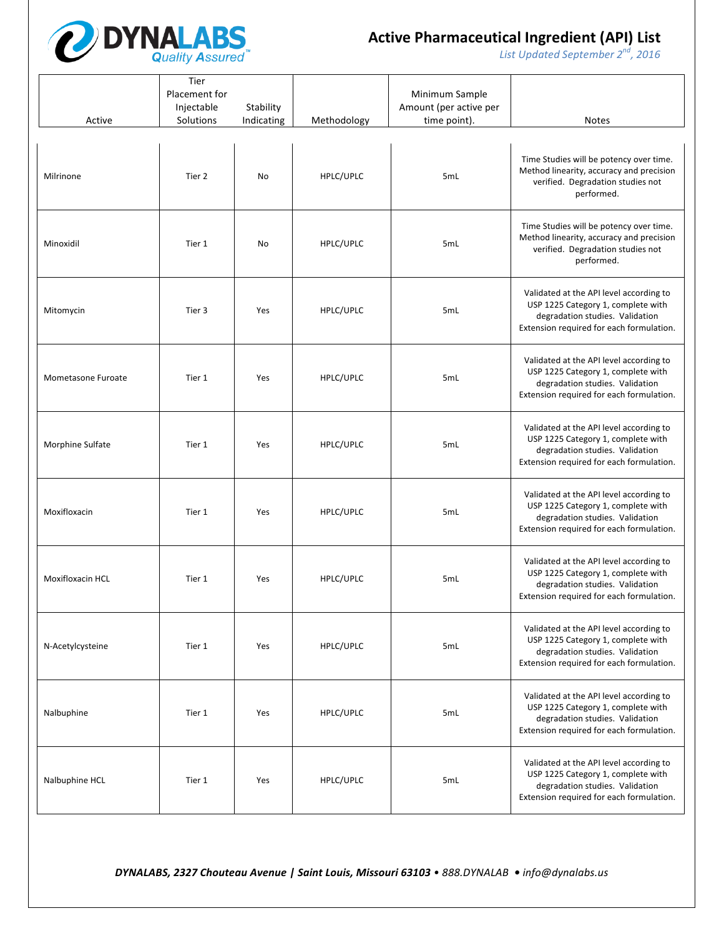

*List* Updated September 2<sup>nd</sup>, 2016

| Active             | Tier<br>Placement for<br>Injectable<br>Solutions | Stability<br>Indicating | Methodology | Minimum Sample<br>Amount (per active per<br>time point). | <b>Notes</b>                                                                                                                                                 |
|--------------------|--------------------------------------------------|-------------------------|-------------|----------------------------------------------------------|--------------------------------------------------------------------------------------------------------------------------------------------------------------|
|                    |                                                  |                         |             |                                                          |                                                                                                                                                              |
| Milrinone          | Tier 2                                           | No                      | HPLC/UPLC   | 5mL                                                      | Time Studies will be potency over time.<br>Method linearity, accuracy and precision<br>verified. Degradation studies not<br>performed.                       |
| Minoxidil          | Tier 1                                           | No                      | HPLC/UPLC   | 5mL                                                      | Time Studies will be potency over time.<br>Method linearity, accuracy and precision<br>verified. Degradation studies not<br>performed.                       |
| Mitomycin          | Tier 3                                           | Yes                     | HPLC/UPLC   | 5mL                                                      | Validated at the API level according to<br>USP 1225 Category 1, complete with<br>degradation studies. Validation<br>Extension required for each formulation. |
| Mometasone Furoate | Tier 1                                           | Yes                     | HPLC/UPLC   | 5mL                                                      | Validated at the API level according to<br>USP 1225 Category 1, complete with<br>degradation studies. Validation<br>Extension required for each formulation. |
| Morphine Sulfate   | Tier 1                                           | Yes                     | HPLC/UPLC   | 5mL                                                      | Validated at the API level according to<br>USP 1225 Category 1, complete with<br>degradation studies. Validation<br>Extension required for each formulation. |
| Moxifloxacin       | Tier 1                                           | Yes                     | HPLC/UPLC   | 5mL                                                      | Validated at the API level according to<br>USP 1225 Category 1, complete with<br>degradation studies. Validation<br>Extension required for each formulation. |
| Moxifloxacin HCL   | Tier 1                                           | Yes                     | HPLC/UPLC   | 5mL                                                      | Validated at the API level according to<br>USP 1225 Category 1, complete with<br>degradation studies. Validation<br>Extension required for each formulation. |
| N-Acetylcysteine   | Tier 1                                           | Yes                     | HPLC/UPLC   | 5 <sub>mL</sub>                                          | Validated at the API level according to<br>USP 1225 Category 1, complete with<br>degradation studies. Validation<br>Extension required for each formulation. |
| Nalbuphine         | Tier 1                                           | Yes                     | HPLC/UPLC   | 5mL                                                      | Validated at the API level according to<br>USP 1225 Category 1, complete with<br>degradation studies. Validation<br>Extension required for each formulation. |
| Nalbuphine HCL     | Tier 1                                           | Yes                     | HPLC/UPLC   | 5mL                                                      | Validated at the API level according to<br>USP 1225 Category 1, complete with<br>degradation studies. Validation<br>Extension required for each formulation. |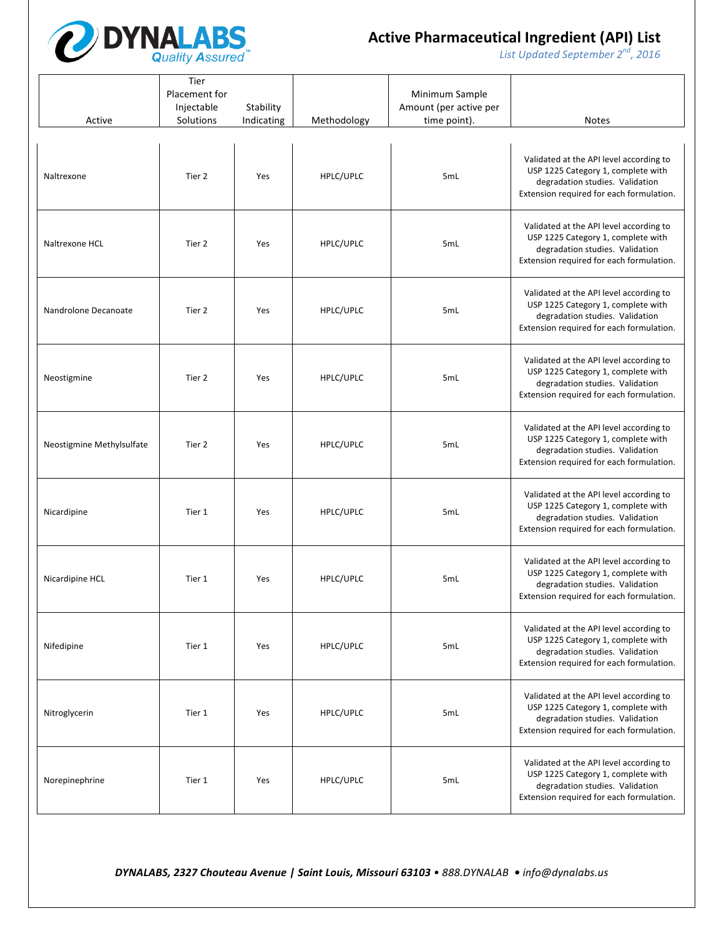

*List* Updated September 2<sup>nd</sup>, 2016

| Active                    | Tier<br>Placement for<br>Injectable<br>Solutions | Stability<br>Indicating | Methodology | Minimum Sample<br>Amount (per active per<br>time point). | <b>Notes</b>                                                                                                                                                 |
|---------------------------|--------------------------------------------------|-------------------------|-------------|----------------------------------------------------------|--------------------------------------------------------------------------------------------------------------------------------------------------------------|
| Naltrexone                | Tier 2                                           | Yes                     | HPLC/UPLC   | 5mL                                                      | Validated at the API level according to<br>USP 1225 Category 1, complete with<br>degradation studies. Validation<br>Extension required for each formulation. |
| Naltrexone HCL            | Tier 2                                           | Yes                     | HPLC/UPLC   | 5mL                                                      | Validated at the API level according to<br>USP 1225 Category 1, complete with<br>degradation studies. Validation<br>Extension required for each formulation. |
| Nandrolone Decanoate      | Tier 2                                           | Yes                     | HPLC/UPLC   | 5mL                                                      | Validated at the API level according to<br>USP 1225 Category 1, complete with<br>degradation studies. Validation<br>Extension required for each formulation. |
| Neostigmine               | Tier 2                                           | Yes                     | HPLC/UPLC   | 5mL                                                      | Validated at the API level according to<br>USP 1225 Category 1, complete with<br>degradation studies. Validation<br>Extension required for each formulation. |
| Neostigmine Methylsulfate | Tier 2                                           | Yes                     | HPLC/UPLC   | 5mL                                                      | Validated at the API level according to<br>USP 1225 Category 1, complete with<br>degradation studies. Validation<br>Extension required for each formulation. |
| Nicardipine               | Tier 1                                           | Yes                     | HPLC/UPLC   | 5mL                                                      | Validated at the API level according to<br>USP 1225 Category 1, complete with<br>degradation studies. Validation<br>Extension required for each formulation. |
| Nicardipine HCL           | Tier 1                                           | Yes                     | HPLC/UPLC   | 5mL                                                      | Validated at the API level according to<br>USP 1225 Category 1, complete with<br>degradation studies. Validation<br>Extension required for each formulation. |
| Nifedipine                | Tier 1                                           | Yes                     | HPLC/UPLC   | 5mL                                                      | Validated at the API level according to<br>USP 1225 Category 1, complete with<br>degradation studies. Validation<br>Extension required for each formulation. |
| Nitroglycerin             | Tier 1                                           | Yes                     | HPLC/UPLC   | 5mL                                                      | Validated at the API level according to<br>USP 1225 Category 1, complete with<br>degradation studies. Validation<br>Extension required for each formulation. |
| Norepinephrine            | Tier 1                                           | Yes                     | HPLC/UPLC   | 5mL                                                      | Validated at the API level according to<br>USP 1225 Category 1, complete with<br>degradation studies. Validation<br>Extension required for each formulation. |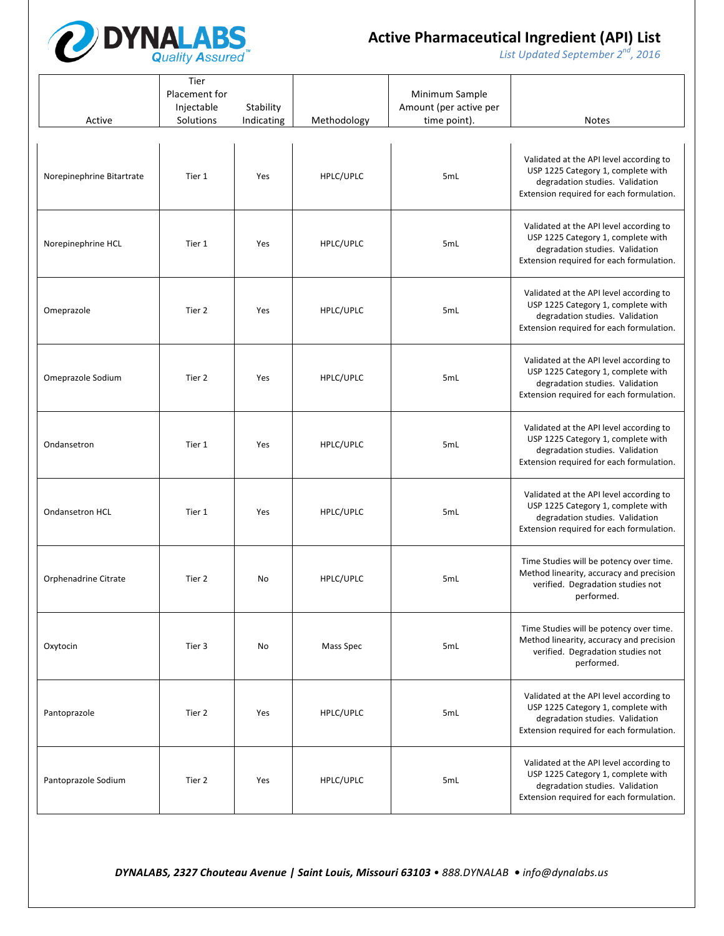

*List* Updated September 2<sup>nd</sup>, 2016

| Active                    | Tier<br>Placement for<br>Injectable<br>Solutions | Stability<br>Indicating | Methodology | Minimum Sample<br>Amount (per active per<br>time point). | <b>Notes</b>                                                                                                                                                 |
|---------------------------|--------------------------------------------------|-------------------------|-------------|----------------------------------------------------------|--------------------------------------------------------------------------------------------------------------------------------------------------------------|
| Norepinephrine Bitartrate | Tier 1                                           | Yes                     | HPLC/UPLC   | 5mL                                                      | Validated at the API level according to<br>USP 1225 Category 1, complete with<br>degradation studies. Validation<br>Extension required for each formulation. |
| Norepinephrine HCL        | Tier 1                                           | Yes                     | HPLC/UPLC   | 5 <sub>mL</sub>                                          | Validated at the API level according to<br>USP 1225 Category 1, complete with<br>degradation studies. Validation<br>Extension required for each formulation. |
| Omeprazole                | Tier 2                                           | Yes                     | HPLC/UPLC   | 5mL                                                      | Validated at the API level according to<br>USP 1225 Category 1, complete with<br>degradation studies. Validation<br>Extension required for each formulation. |
| Omeprazole Sodium         | Tier 2                                           | Yes                     | HPLC/UPLC   | 5mL                                                      | Validated at the API level according to<br>USP 1225 Category 1, complete with<br>degradation studies. Validation<br>Extension required for each formulation. |
| Ondansetron               | Tier 1                                           | Yes                     | HPLC/UPLC   | 5mL                                                      | Validated at the API level according to<br>USP 1225 Category 1, complete with<br>degradation studies. Validation<br>Extension required for each formulation. |
| <b>Ondansetron HCL</b>    | Tier 1                                           | Yes                     | HPLC/UPLC   | 5mL                                                      | Validated at the API level according to<br>USP 1225 Category 1, complete with<br>degradation studies. Validation<br>Extension required for each formulation. |
| Orphenadrine Citrate      | Tier 2                                           | No                      | HPLC/UPLC   | 5mL                                                      | Time Studies will be potency over time.<br>Method linearity, accuracy and precision<br>verified. Degradation studies not<br>performed.                       |
| Oxytocin                  | Tier 3                                           | No                      | Mass Spec   | 5mL                                                      | Time Studies will be potency over time.<br>Method linearity, accuracy and precision<br>verified. Degradation studies not<br>performed.                       |
| Pantoprazole              | Tier 2                                           | Yes                     | HPLC/UPLC   | 5mL                                                      | Validated at the API level according to<br>USP 1225 Category 1, complete with<br>degradation studies. Validation<br>Extension required for each formulation. |
| Pantoprazole Sodium       | Tier 2                                           | Yes                     | HPLC/UPLC   | 5mL                                                      | Validated at the API level according to<br>USP 1225 Category 1, complete with<br>degradation studies. Validation<br>Extension required for each formulation. |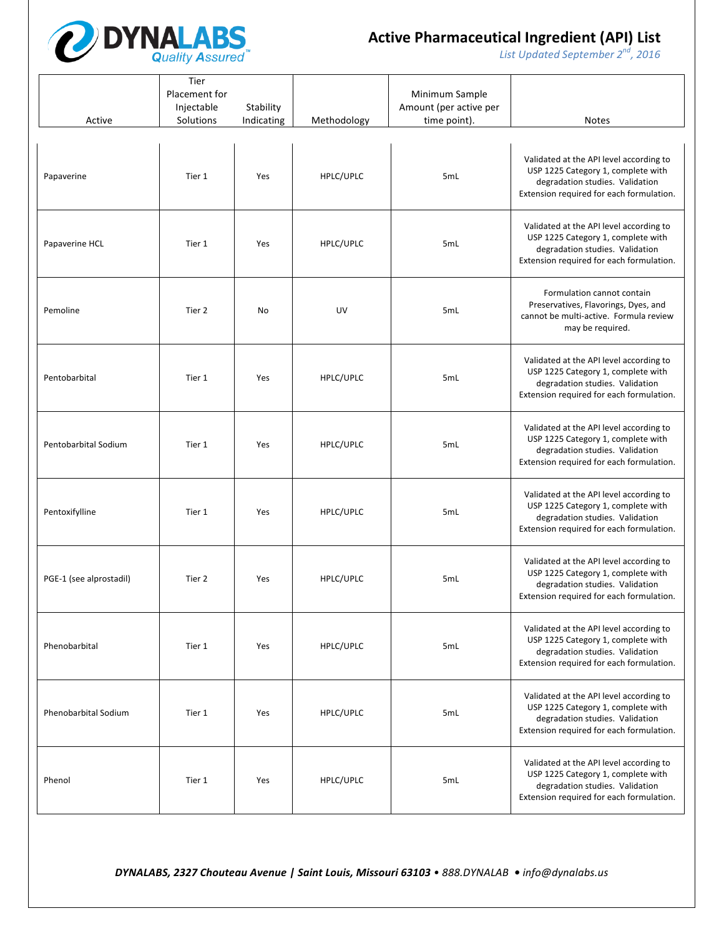

*List* Updated September 2<sup>nd</sup>, 2016

| Active                      | Tier<br>Placement for<br>Injectable<br>Solutions | Stability<br>Indicating | Methodology | Minimum Sample<br>Amount (per active per<br>time point). | <b>Notes</b>                                                                                                                                                 |
|-----------------------------|--------------------------------------------------|-------------------------|-------------|----------------------------------------------------------|--------------------------------------------------------------------------------------------------------------------------------------------------------------|
| Papaverine                  | Tier 1                                           | Yes                     | HPLC/UPLC   | 5mL                                                      | Validated at the API level according to<br>USP 1225 Category 1, complete with<br>degradation studies. Validation<br>Extension required for each formulation. |
| Papaverine HCL              | Tier 1                                           | Yes                     | HPLC/UPLC   | 5mL                                                      | Validated at the API level according to<br>USP 1225 Category 1, complete with<br>degradation studies. Validation<br>Extension required for each formulation. |
| Pemoline                    | Tier 2                                           | No                      | UV          | 5mL                                                      | Formulation cannot contain<br>Preservatives, Flavorings, Dyes, and<br>cannot be multi-active. Formula review<br>may be required.                             |
| Pentobarbital               | Tier 1                                           | Yes                     | HPLC/UPLC   | 5mL                                                      | Validated at the API level according to<br>USP 1225 Category 1, complete with<br>degradation studies. Validation<br>Extension required for each formulation. |
| Pentobarbital Sodium        | Tier 1                                           | Yes                     | HPLC/UPLC   | 5mL                                                      | Validated at the API level according to<br>USP 1225 Category 1, complete with<br>degradation studies. Validation<br>Extension required for each formulation. |
| Pentoxifylline              | Tier 1                                           | Yes                     | HPLC/UPLC   | 5mL                                                      | Validated at the API level according to<br>USP 1225 Category 1, complete with<br>degradation studies. Validation<br>Extension required for each formulation. |
| PGE-1 (see alprostadil)     | Tier 2                                           | Yes                     | HPLC/UPLC   | 5mL                                                      | Validated at the API level according to<br>USP 1225 Category 1, complete with<br>degradation studies. Validation<br>Extension required for each formulation. |
| Phenobarbital               | Tier 1                                           | Yes                     | HPLC/UPLC   | 5mL                                                      | Validated at the API level according to<br>USP 1225 Category 1, complete with<br>degradation studies. Validation<br>Extension required for each formulation. |
| <b>Phenobarbital Sodium</b> | Tier 1                                           | Yes                     | HPLC/UPLC   | 5mL                                                      | Validated at the API level according to<br>USP 1225 Category 1, complete with<br>degradation studies. Validation<br>Extension required for each formulation. |
| Phenol                      | Tier 1                                           | Yes                     | HPLC/UPLC   | 5mL                                                      | Validated at the API level according to<br>USP 1225 Category 1, complete with<br>degradation studies. Validation<br>Extension required for each formulation. |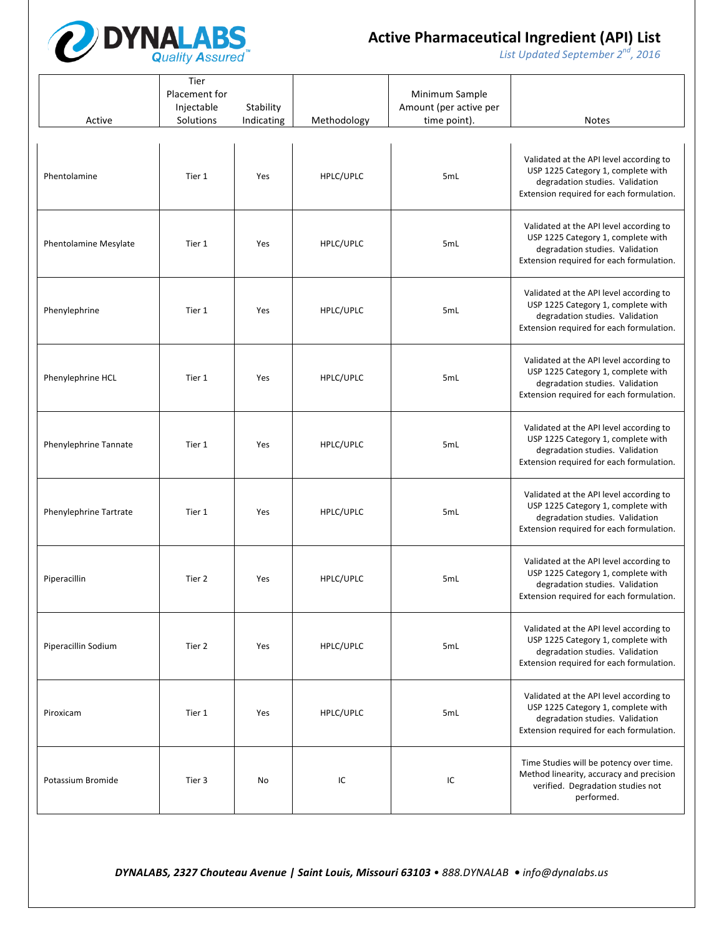

*List* Updated September 2<sup>nd</sup>, 2016

| Active                 | Tier<br>Placement for<br>Injectable<br>Solutions | Stability<br>Indicating | Methodology | Minimum Sample<br>Amount (per active per<br>time point). | <b>Notes</b>                                                                                                                                                 |
|------------------------|--------------------------------------------------|-------------------------|-------------|----------------------------------------------------------|--------------------------------------------------------------------------------------------------------------------------------------------------------------|
| Phentolamine           | Tier 1                                           | Yes                     | HPLC/UPLC   | 5mL                                                      | Validated at the API level according to<br>USP 1225 Category 1, complete with<br>degradation studies. Validation<br>Extension required for each formulation. |
| Phentolamine Mesylate  | Tier 1                                           | Yes                     | HPLC/UPLC   | 5mL                                                      | Validated at the API level according to<br>USP 1225 Category 1, complete with<br>degradation studies. Validation<br>Extension required for each formulation. |
| Phenylephrine          | Tier 1                                           | Yes                     | HPLC/UPLC   | 5mL                                                      | Validated at the API level according to<br>USP 1225 Category 1, complete with<br>degradation studies. Validation<br>Extension required for each formulation. |
| Phenylephrine HCL      | Tier 1                                           | Yes                     | HPLC/UPLC   | 5mL                                                      | Validated at the API level according to<br>USP 1225 Category 1, complete with<br>degradation studies. Validation<br>Extension required for each formulation. |
| Phenylephrine Tannate  | Tier 1                                           | Yes                     | HPLC/UPLC   | 5mL                                                      | Validated at the API level according to<br>USP 1225 Category 1, complete with<br>degradation studies. Validation<br>Extension required for each formulation. |
| Phenylephrine Tartrate | Tier 1                                           | Yes                     | HPLC/UPLC   | 5mL                                                      | Validated at the API level according to<br>USP 1225 Category 1, complete with<br>degradation studies. Validation<br>Extension required for each formulation. |
| Piperacillin           | Tier 2                                           | Yes                     | HPLC/UPLC   | 5mL                                                      | Validated at the API level according to<br>USP 1225 Category 1, complete with<br>degradation studies. Validation<br>Extension required for each formulation. |
| Piperacillin Sodium    | Tier 2                                           | Yes                     | HPLC/UPLC   | 5mL                                                      | Validated at the API level according to<br>USP 1225 Category 1, complete with<br>degradation studies. Validation<br>Extension required for each formulation. |
| Piroxicam              | Tier 1                                           | Yes                     | HPLC/UPLC   | 5mL                                                      | Validated at the API level according to<br>USP 1225 Category 1, complete with<br>degradation studies. Validation<br>Extension required for each formulation. |
| Potassium Bromide      | Tier 3                                           | No                      | IC          | IC                                                       | Time Studies will be potency over time.<br>Method linearity, accuracy and precision<br>verified. Degradation studies not<br>performed.                       |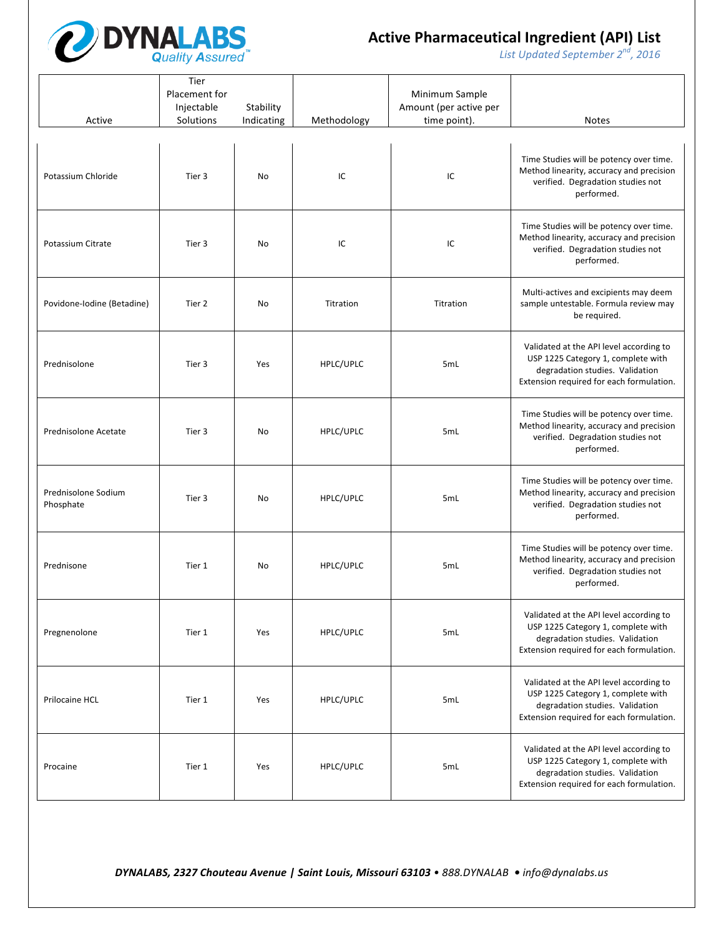

*List* Updated September 2<sup>nd</sup>, 2016

| Active                           | Tier<br>Placement for<br>Injectable<br>Solutions | Stability<br>Indicating | Methodology | Minimum Sample<br>Amount (per active per<br>time point). | <b>Notes</b>                                                                                                                                                 |
|----------------------------------|--------------------------------------------------|-------------------------|-------------|----------------------------------------------------------|--------------------------------------------------------------------------------------------------------------------------------------------------------------|
| Potassium Chloride               | Tier 3                                           | No                      | IC          | IC                                                       | Time Studies will be potency over time.<br>Method linearity, accuracy and precision<br>verified. Degradation studies not<br>performed.                       |
| Potassium Citrate                | Tier 3                                           | No                      | IC          | IC                                                       | Time Studies will be potency over time.<br>Method linearity, accuracy and precision<br>verified. Degradation studies not<br>performed.                       |
| Povidone-Iodine (Betadine)       | Tier 2                                           | No                      | Titration   | Titration                                                | Multi-actives and excipients may deem<br>sample untestable. Formula review may<br>be required.                                                               |
| Prednisolone                     | Tier 3                                           | Yes                     | HPLC/UPLC   | 5mL                                                      | Validated at the API level according to<br>USP 1225 Category 1, complete with<br>degradation studies. Validation<br>Extension required for each formulation. |
| Prednisolone Acetate             | Tier 3                                           | No                      | HPLC/UPLC   | 5mL                                                      | Time Studies will be potency over time.<br>Method linearity, accuracy and precision<br>verified. Degradation studies not<br>performed.                       |
| Prednisolone Sodium<br>Phosphate | Tier 3                                           | No                      | HPLC/UPLC   | 5mL                                                      | Time Studies will be potency over time.<br>Method linearity, accuracy and precision<br>verified. Degradation studies not<br>performed.                       |
| Prednisone                       | Tier 1                                           | No                      | HPLC/UPLC   | 5mL                                                      | Time Studies will be potency over time.<br>Method linearity, accuracy and precision<br>verified. Degradation studies not<br>performed.                       |
| Pregnenolone                     | Tier 1                                           | Yes                     | HPLC/UPLC   | 5mL                                                      | Validated at the API level according to<br>USP 1225 Category 1, complete with<br>degradation studies. Validation<br>Extension required for each formulation. |
| Prilocaine HCL                   | Tier 1                                           | Yes                     | HPLC/UPLC   | 5mL                                                      | Validated at the API level according to<br>USP 1225 Category 1, complete with<br>degradation studies. Validation<br>Extension required for each formulation. |
| Procaine                         | Tier 1                                           | Yes                     | HPLC/UPLC   | 5mL                                                      | Validated at the API level according to<br>USP 1225 Category 1, complete with<br>degradation studies. Validation<br>Extension required for each formulation. |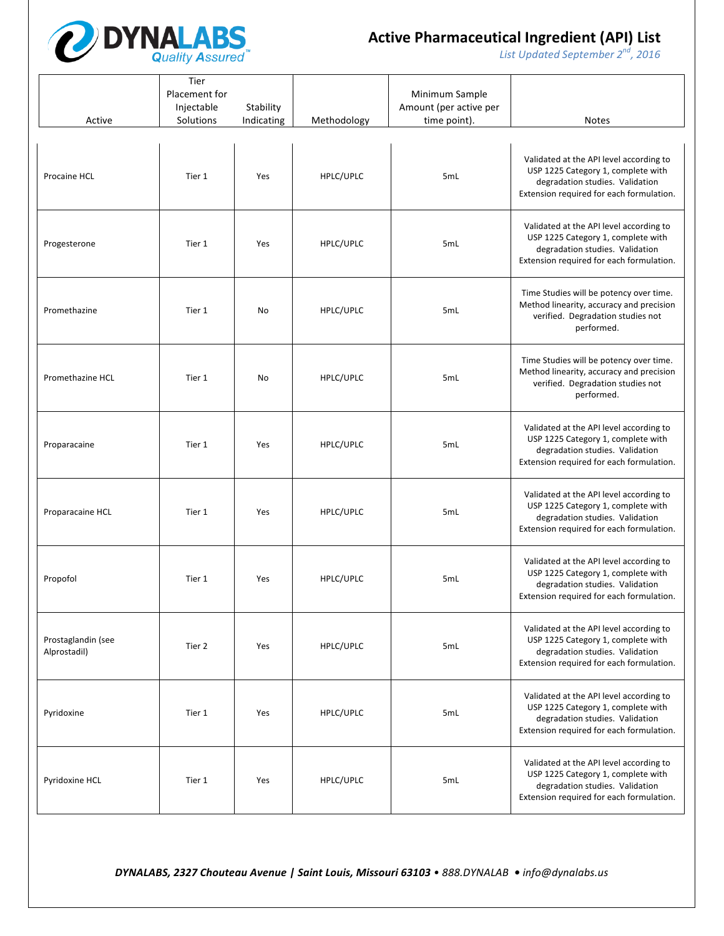

*List* Updated September 2<sup>nd</sup>, 2016

| Active                             | Tier<br>Placement for<br>Injectable<br>Solutions | Stability<br>Indicating | Methodology | Minimum Sample<br>Amount (per active per<br>time point). | <b>Notes</b>                                                                                                                                                 |
|------------------------------------|--------------------------------------------------|-------------------------|-------------|----------------------------------------------------------|--------------------------------------------------------------------------------------------------------------------------------------------------------------|
| Procaine HCL                       | Tier 1                                           | Yes                     | HPLC/UPLC   | 5mL                                                      | Validated at the API level according to<br>USP 1225 Category 1, complete with<br>degradation studies. Validation<br>Extension required for each formulation. |
| Progesterone                       | Tier 1                                           | Yes                     | HPLC/UPLC   | 5mL                                                      | Validated at the API level according to<br>USP 1225 Category 1, complete with<br>degradation studies. Validation<br>Extension required for each formulation. |
| Promethazine                       | Tier 1                                           | No                      | HPLC/UPLC   | 5mL                                                      | Time Studies will be potency over time.<br>Method linearity, accuracy and precision<br>verified. Degradation studies not<br>performed.                       |
| Promethazine HCL                   | Tier 1                                           | No                      | HPLC/UPLC   | 5mL                                                      | Time Studies will be potency over time.<br>Method linearity, accuracy and precision<br>verified. Degradation studies not<br>performed.                       |
| Proparacaine                       | Tier 1                                           | Yes                     | HPLC/UPLC   | 5mL                                                      | Validated at the API level according to<br>USP 1225 Category 1, complete with<br>degradation studies. Validation<br>Extension required for each formulation. |
| Proparacaine HCL                   | Tier 1                                           | Yes                     | HPLC/UPLC   | 5mL                                                      | Validated at the API level according to<br>USP 1225 Category 1, complete with<br>degradation studies. Validation<br>Extension required for each formulation. |
| Propofol                           | Tier 1                                           | Yes                     | HPLC/UPLC   | 5mL                                                      | Validated at the API level according to<br>USP 1225 Category 1, complete with<br>degradation studies. Validation<br>Extension required for each formulation. |
| Prostaglandin (see<br>Alprostadil) | Tier 2                                           | Yes                     | HPLC/UPLC   | 5mL                                                      | Validated at the API level according to<br>USP 1225 Category 1, complete with<br>degradation studies. Validation<br>Extension required for each formulation. |
| Pyridoxine                         | Tier 1                                           | Yes                     | HPLC/UPLC   | 5mL                                                      | Validated at the API level according to<br>USP 1225 Category 1, complete with<br>degradation studies. Validation<br>Extension required for each formulation. |
| Pyridoxine HCL                     | Tier 1                                           | Yes                     | HPLC/UPLC   | 5 <sub>mL</sub>                                          | Validated at the API level according to<br>USP 1225 Category 1, complete with<br>degradation studies. Validation<br>Extension required for each formulation. |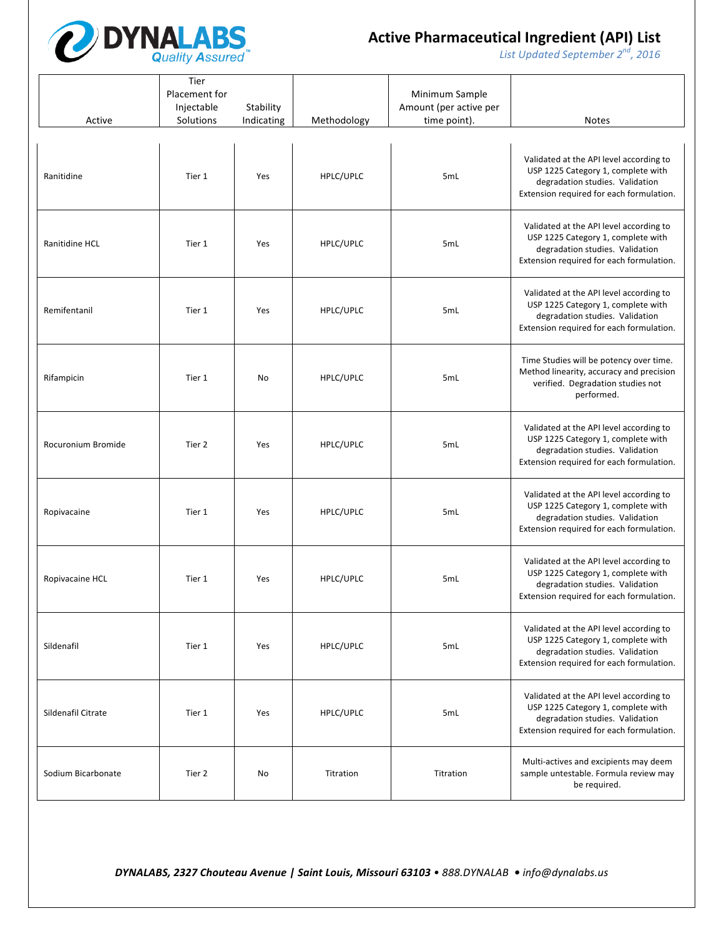

*List* Updated September 2<sup>nd</sup>, 2016

| Active             | Tier<br>Placement for<br>Injectable<br>Solutions | Stability<br>Indicating | Methodology | Minimum Sample<br>Amount (per active per<br>time point). | <b>Notes</b>                                                                                                                                                 |
|--------------------|--------------------------------------------------|-------------------------|-------------|----------------------------------------------------------|--------------------------------------------------------------------------------------------------------------------------------------------------------------|
| Ranitidine         | Tier 1                                           | Yes                     | HPLC/UPLC   | 5mL                                                      | Validated at the API level according to<br>USP 1225 Category 1, complete with<br>degradation studies. Validation<br>Extension required for each formulation. |
| Ranitidine HCL     | Tier 1                                           | Yes                     | HPLC/UPLC   | 5mL                                                      | Validated at the API level according to<br>USP 1225 Category 1, complete with<br>degradation studies. Validation<br>Extension required for each formulation. |
| Remifentanil       | Tier 1                                           | Yes                     | HPLC/UPLC   | 5mL                                                      | Validated at the API level according to<br>USP 1225 Category 1, complete with<br>degradation studies. Validation<br>Extension required for each formulation. |
| Rifampicin         | Tier 1                                           | No                      | HPLC/UPLC   | 5mL                                                      | Time Studies will be potency over time.<br>Method linearity, accuracy and precision<br>verified. Degradation studies not<br>performed.                       |
| Rocuronium Bromide | Tier 2                                           | Yes                     | HPLC/UPLC   | 5mL                                                      | Validated at the API level according to<br>USP 1225 Category 1, complete with<br>degradation studies. Validation<br>Extension required for each formulation. |
| Ropivacaine        | Tier 1                                           | Yes                     | HPLC/UPLC   | 5mL                                                      | Validated at the API level according to<br>USP 1225 Category 1, complete with<br>degradation studies. Validation<br>Extension required for each formulation. |
| Ropivacaine HCL    | Tier 1                                           | Yes                     | HPLC/UPLC   | 5mL                                                      | Validated at the API level according to<br>USP 1225 Category 1, complete with<br>degradation studies. Validation<br>Extension required for each formulation. |
| Sildenafil         | Tier 1                                           | Yes                     | HPLC/UPLC   | 5mL                                                      | Validated at the API level according to<br>USP 1225 Category 1, complete with<br>degradation studies. Validation<br>Extension required for each formulation. |
| Sildenafil Citrate | Tier 1                                           | Yes                     | HPLC/UPLC   | 5mL                                                      | Validated at the API level according to<br>USP 1225 Category 1, complete with<br>degradation studies. Validation<br>Extension required for each formulation. |
| Sodium Bicarbonate | Tier 2                                           | No                      | Titration   | Titration                                                | Multi-actives and excipients may deem<br>sample untestable. Formula review may<br>be required.                                                               |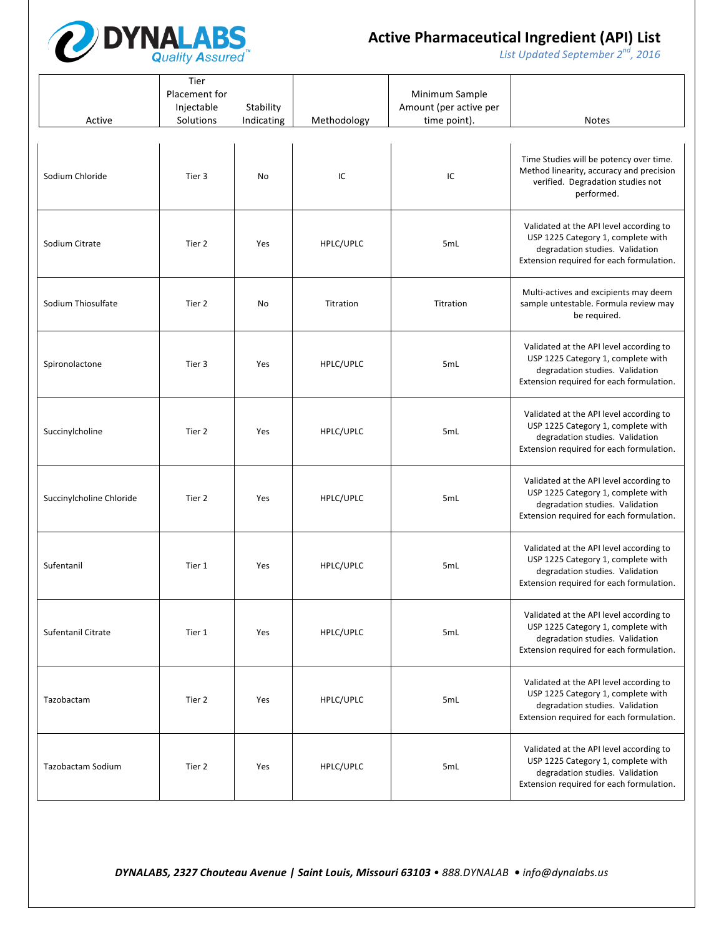

*List* Updated September 2<sup>nd</sup>, 2016

| Active                    | Tier<br>Placement for<br>Injectable<br>Solutions | Stability<br>Indicating | Methodology | Minimum Sample<br>Amount (per active per<br>time point). | Notes                                                                                                                                                        |
|---------------------------|--------------------------------------------------|-------------------------|-------------|----------------------------------------------------------|--------------------------------------------------------------------------------------------------------------------------------------------------------------|
| Sodium Chloride           | Tier 3                                           | No                      | IC          | IC                                                       | Time Studies will be potency over time.<br>Method linearity, accuracy and precision<br>verified. Degradation studies not<br>performed.                       |
| Sodium Citrate            | Tier 2                                           | Yes                     | HPLC/UPLC   | 5mL                                                      | Validated at the API level according to<br>USP 1225 Category 1, complete with<br>degradation studies. Validation<br>Extension required for each formulation. |
| Sodium Thiosulfate        | Tier 2                                           | No                      | Titration   | Titration                                                | Multi-actives and excipients may deem<br>sample untestable. Formula review may<br>be required.                                                               |
| Spironolactone            | Tier 3                                           | Yes                     | HPLC/UPLC   | 5mL                                                      | Validated at the API level according to<br>USP 1225 Category 1, complete with<br>degradation studies. Validation<br>Extension required for each formulation. |
| Succinylcholine           | Tier 2                                           | Yes                     | HPLC/UPLC   | 5mL                                                      | Validated at the API level according to<br>USP 1225 Category 1, complete with<br>degradation studies. Validation<br>Extension required for each formulation. |
| Succinylcholine Chloride  | Tier 2                                           | Yes                     | HPLC/UPLC   | 5mL                                                      | Validated at the API level according to<br>USP 1225 Category 1, complete with<br>degradation studies. Validation<br>Extension required for each formulation. |
| Sufentanil                | Tier 1                                           | Yes                     | HPLC/UPLC   | 5mL                                                      | Validated at the API level according to<br>USP 1225 Category 1, complete with<br>degradation studies. Validation<br>Extension required for each formulation. |
| <b>Sufentanil Citrate</b> | Tier 1                                           | Yes                     | HPLC/UPLC   | 5mL                                                      | Validated at the API level according to<br>USP 1225 Category 1, complete with<br>degradation studies. Validation<br>Extension required for each formulation. |
| Tazobactam                | Tier 2                                           | Yes                     | HPLC/UPLC   | 5mL                                                      | Validated at the API level according to<br>USP 1225 Category 1, complete with<br>degradation studies. Validation<br>Extension required for each formulation. |
| Tazobactam Sodium         | Tier 2                                           | Yes                     | HPLC/UPLC   | 5mL                                                      | Validated at the API level according to<br>USP 1225 Category 1, complete with<br>degradation studies. Validation<br>Extension required for each formulation. |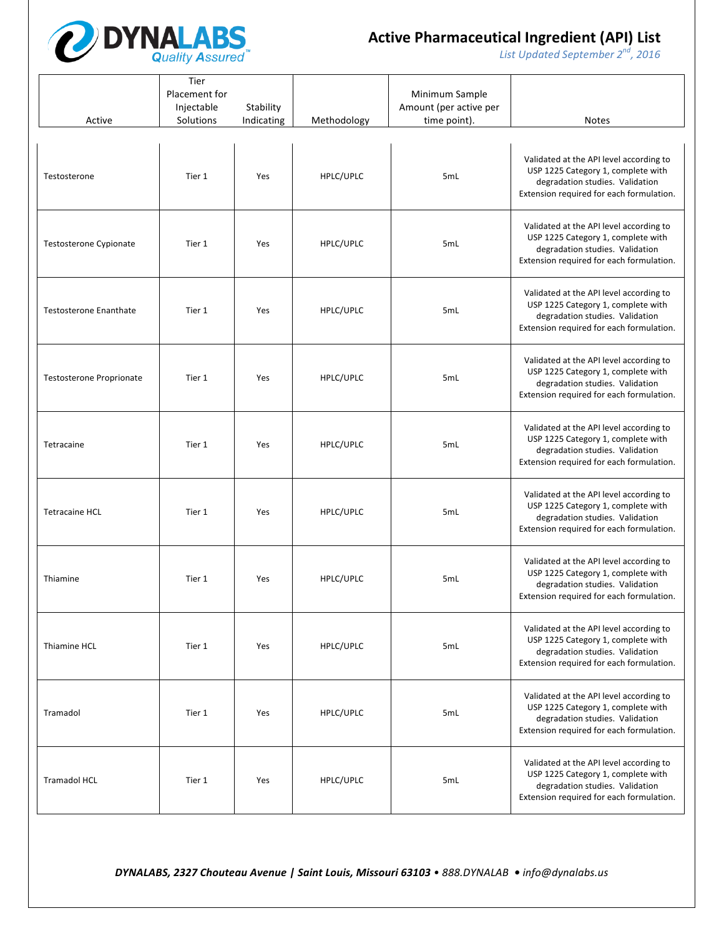

*List* Updated September 2<sup>nd</sup>, 2016

| Active                          | Tier<br>Placement for<br>Injectable<br>Solutions | Stability<br>Indicating | Methodology | Minimum Sample<br>Amount (per active per<br>time point). | <b>Notes</b>                                                                                                                                                 |
|---------------------------------|--------------------------------------------------|-------------------------|-------------|----------------------------------------------------------|--------------------------------------------------------------------------------------------------------------------------------------------------------------|
| Testosterone                    | Tier 1                                           | Yes                     | HPLC/UPLC   | 5mL                                                      | Validated at the API level according to<br>USP 1225 Category 1, complete with<br>degradation studies. Validation<br>Extension required for each formulation. |
| Testosterone Cypionate          | Tier 1                                           | Yes                     | HPLC/UPLC   | 5mL                                                      | Validated at the API level according to<br>USP 1225 Category 1, complete with<br>degradation studies. Validation<br>Extension required for each formulation. |
| <b>Testosterone Enanthate</b>   | Tier 1                                           | Yes                     | HPLC/UPLC   | 5mL                                                      | Validated at the API level according to<br>USP 1225 Category 1, complete with<br>degradation studies. Validation<br>Extension required for each formulation. |
| <b>Testosterone Proprionate</b> | Tier 1                                           | Yes                     | HPLC/UPLC   | 5mL                                                      | Validated at the API level according to<br>USP 1225 Category 1, complete with<br>degradation studies. Validation<br>Extension required for each formulation. |
| Tetracaine                      | Tier 1                                           | Yes                     | HPLC/UPLC   | 5mL                                                      | Validated at the API level according to<br>USP 1225 Category 1, complete with<br>degradation studies. Validation<br>Extension required for each formulation. |
| <b>Tetracaine HCL</b>           | Tier 1                                           | Yes                     | HPLC/UPLC   | 5mL                                                      | Validated at the API level according to<br>USP 1225 Category 1, complete with<br>degradation studies. Validation<br>Extension required for each formulation. |
| Thiamine                        | Tier 1                                           | Yes                     | HPLC/UPLC   | 5mL                                                      | Validated at the API level according to<br>USP 1225 Category 1, complete with<br>degradation studies. Validation<br>Extension required for each formulation. |
| Thiamine HCL                    | Tier 1                                           | Yes                     | HPLC/UPLC   | 5mL                                                      | Validated at the API level according to<br>USP 1225 Category 1, complete with<br>degradation studies. Validation<br>Extension required for each formulation. |
| Tramadol                        | Tier 1                                           | Yes                     | HPLC/UPLC   | 5mL                                                      | Validated at the API level according to<br>USP 1225 Category 1, complete with<br>degradation studies. Validation<br>Extension required for each formulation. |
| <b>Tramadol HCL</b>             | Tier 1                                           | Yes                     | HPLC/UPLC   | 5mL                                                      | Validated at the API level according to<br>USP 1225 Category 1, complete with<br>degradation studies. Validation<br>Extension required for each formulation. |